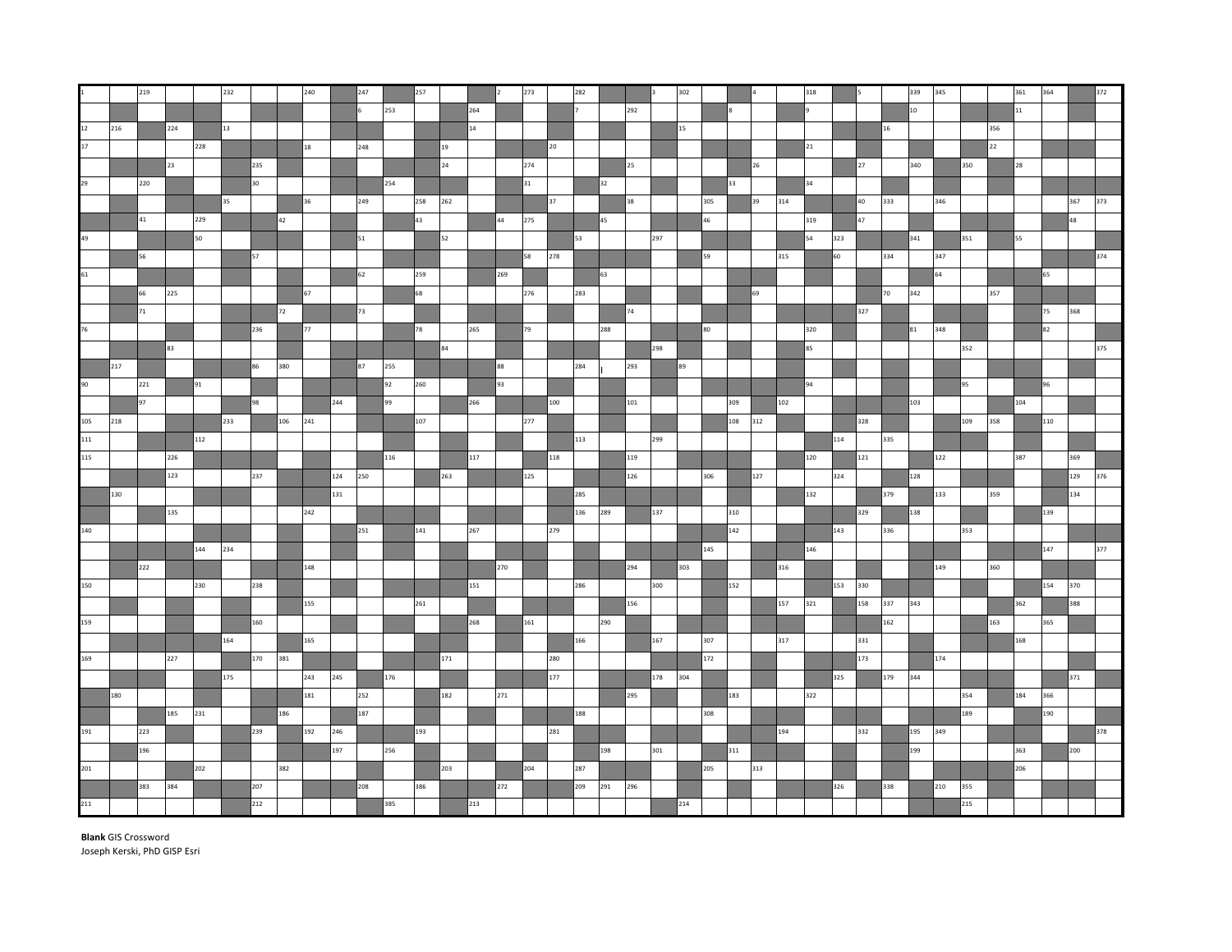|     |     | 219 |     |     | 232 |     |     | 240         |     | 247 |     | 257 |     |     |     | 273 |                 | 282 |     |     |         | 302 |     |     |     |     | 318 |     |     |                 | 339              | 345 |     |     | 361 | 364 |     | 372 |
|-----|-----|-----|-----|-----|-----|-----|-----|-------------|-----|-----|-----|-----|-----|-----|-----|-----|-----------------|-----|-----|-----|---------|-----|-----|-----|-----|-----|-----|-----|-----|-----------------|------------------|-----|-----|-----|-----|-----|-----|-----|
|     |     |     |     |     |     |     |     |             |     |     | 253 |     |     | 264 |     |     |                 |     |     | 292 |         |     |     |     |     |     |     |     |     |                 | 10 <sup>10</sup> |     |     |     | 11  |     |     |     |
| 12  | 216 |     | 224 |     | 13  |     |     |             |     |     |     |     |     | 14  |     |     |                 |     |     |     |         | 15  |     |     |     |     |     |     |     | 16 <sup>1</sup> |                  |     |     | 356 |     |     |     |     |
| 17  |     |     |     | 228 |     |     |     | $^{\rm 18}$ |     | 248 |     |     | 19  |     |     |     | 20 <sub>2</sub> |     |     |     |         |     |     |     |     |     | 21  |     |     |                 |                  |     |     | 22  |     |     |     |     |
|     |     |     | 23  |     |     | 235 |     |             |     |     |     |     | 24  |     |     | 274 |                 |     |     | 25  |         |     |     |     | 26  |     |     |     | 27  |                 | 340              |     | 350 |     | 28  |     |     |     |
| 29  |     | 220 |     |     |     | 30  |     |             |     |     | 254 |     |     |     |     | 31  |                 |     | 32  |     |         |     |     | 33  |     |     | 34  |     |     |                 |                  |     |     |     |     |     |     |     |
|     |     |     |     |     | 35  |     |     | 36          |     | 249 |     | 258 | 262 |     |     |     | 37              |     |     | 38  |         |     | 305 |     | 39  | 314 |     |     | 40  | 333             |                  | 346 |     |     |     |     | 367 | 373 |
|     |     | 41  |     | 229 |     |     | 42  |             |     |     |     | 43  |     |     | 44  | 275 |                 |     | 45  |     |         |     | 46  |     |     |     | 319 |     | 47  |                 |                  |     |     |     |     |     | 48  |     |
|     |     |     |     | 50  |     |     |     |             |     | 51  |     |     | 52  |     |     |     |                 | 53  |     |     | 297     |     |     |     |     |     | 54  | 323 |     |                 | 341              |     | 351 |     | 55  |     |     |     |
|     |     | 56  |     |     |     | 57  |     |             |     |     |     |     |     |     |     | 58  | 278             |     |     |     |         |     | 59  |     |     | 315 |     | 60  |     | 334             |                  | 347 |     |     |     |     |     | 374 |
| 61  |     |     |     |     |     |     |     |             |     | 62  |     | 259 |     |     | 269 |     |                 |     | 63  |     |         |     |     |     |     |     |     |     |     |                 |                  | 64  |     |     |     | 65  |     |     |
|     |     | 66  | 225 |     |     |     |     | 67          |     |     |     | 68  |     |     |     | 276 |                 | 283 |     |     |         |     |     |     | 69  |     |     |     |     | 70              | 342              |     |     | 357 |     |     |     |     |
|     |     | 71  |     |     |     |     | 72  |             |     | 73  |     |     |     |     |     |     |                 |     |     | 74  |         |     |     |     |     |     |     |     | 327 |                 |                  |     |     |     |     | 75  | 368 |     |
| 76  |     |     |     |     |     | 236 |     | 77          |     |     |     | 78  |     | 265 |     | 79  |                 |     | 288 |     |         |     | 80  |     |     |     | 320 |     |     |                 | 81               | 348 |     |     |     | 82  |     |     |
|     |     |     | 83  |     |     |     |     |             |     |     |     |     | 84  |     |     |     |                 |     |     |     | 298     |     |     |     |     |     | 85  |     |     |                 |                  |     | 352 |     |     |     |     | 375 |
|     | 217 |     |     |     |     | 86  | 380 |             |     | 87  | 255 |     |     |     | 88  |     |                 | 284 |     | 293 |         | 89  |     |     |     |     |     |     |     |                 |                  |     |     |     |     |     |     |     |
|     |     | 221 |     | 91  |     |     |     |             |     |     | 92  | 260 |     |     | 93  |     |                 |     |     |     |         |     |     |     |     |     | 94  |     |     |                 |                  |     | 95  |     |     | 96  |     |     |
|     |     | 97  |     |     |     | 98  |     |             | 244 |     | 99  |     |     | 266 |     |     | 100             |     |     | 101 |         |     |     | 309 |     | 102 |     |     |     |                 | 103              |     |     |     | 104 |     |     |     |
| 105 | 218 |     |     |     | 233 |     | 106 | 241         |     |     |     | 107 |     |     |     | 277 |                 |     |     |     |         |     |     | 108 | 312 |     |     |     | 328 |                 |                  |     | 109 | 358 |     | 110 |     |     |
| 111 |     |     |     | 112 |     |     |     |             |     |     |     |     |     |     |     |     |                 | 113 |     |     | 299     |     |     |     |     |     |     | 114 |     | 335             |                  |     |     |     |     |     |     |     |
| 115 |     |     | 226 |     |     |     |     |             |     |     | 116 |     |     | 117 |     |     | 118             |     |     | 119 |         |     |     |     |     |     | 120 |     | 121 |                 |                  | 122 |     |     | 387 |     | 369 |     |
|     |     |     | 123 |     |     | 237 |     |             | 124 | 250 |     |     | 263 |     |     | 125 |                 |     |     | 126 |         |     | 306 |     | 127 |     |     | 324 |     |                 | 128              |     |     |     |     |     | 129 | 376 |
|     | 130 |     |     |     |     |     |     |             | 131 |     |     |     |     |     |     |     |                 | 285 |     |     |         |     |     |     |     |     | 132 |     |     | 379             |                  | 133 |     | 359 |     |     | 134 |     |
|     |     |     | 135 |     |     |     |     | 242         |     |     |     |     |     |     |     |     |                 | 136 | 289 |     | 137     |     |     | 310 |     |     |     |     | 329 |                 | 138              |     |     |     |     | 139 |     |     |
| 140 |     |     |     |     |     |     |     |             |     | 251 |     | 141 |     | 267 |     |     | 279             |     |     |     |         |     |     | 142 |     |     |     | 143 |     | 336             |                  |     | 353 |     |     |     |     |     |
|     |     |     |     | 144 | 234 |     |     |             |     |     |     |     |     |     |     |     |                 |     |     |     |         |     | 145 |     |     |     | 146 |     |     |                 |                  |     |     |     |     | 147 |     | 377 |
|     |     | 222 |     |     |     |     |     | 148         |     |     |     |     |     |     | 270 |     |                 |     |     | 294 |         | 303 |     |     |     | 316 |     |     |     |                 |                  | 149 |     | 360 |     |     |     |     |
| 150 |     |     |     | 230 |     | 238 |     |             |     |     |     |     |     | 151 |     |     |                 | 286 |     |     | 300     |     |     | 152 |     |     |     | 153 | 330 |                 |                  |     |     |     |     | 154 | 370 |     |
|     |     |     |     |     |     |     |     | 155         |     |     |     | 261 |     |     |     |     |                 |     |     | 156 |         |     |     |     |     | 157 | 321 |     | 158 | 337             | 343              |     |     |     | 362 |     | 388 |     |
| 159 |     |     |     |     |     | 160 |     |             |     |     |     |     |     | 268 |     | 161 |                 |     | 290 |     |         |     |     |     |     |     |     |     |     | 162             |                  |     |     | 163 |     | 365 |     |     |
|     |     |     |     |     | 164 |     |     | 165         |     |     |     |     |     |     |     |     |                 | 166 |     |     | 167     |     | 307 |     |     | 317 |     |     | 331 |                 |                  |     |     |     | 168 |     |     |     |
| 169 |     |     | 227 |     |     | 170 | 381 |             |     |     |     |     | 171 |     |     |     | 280             |     |     |     |         |     | 172 |     |     |     |     |     | 173 |                 |                  | 174 |     |     |     |     |     |     |
|     |     |     |     |     | 175 |     |     | 243         | 245 |     | 176 |     |     |     |     |     | 177             |     |     |     | 178 304 |     |     |     |     |     |     | 325 |     | 179             | 344              |     |     |     |     |     | 371 |     |
|     | 180 |     |     |     |     |     |     | 181         |     | 252 |     |     | 182 |     | 271 |     |                 |     |     | 295 |         |     |     | 183 |     |     | 322 |     |     |                 |                  |     | 354 |     | 184 | 366 |     |     |
|     |     |     | 185 | 231 |     |     | 186 |             |     | 187 |     |     |     |     |     |     |                 | 188 |     |     |         |     | 308 |     |     |     |     |     |     |                 |                  |     | 189 |     |     | 190 |     |     |
| 191 |     | 223 |     |     |     | 239 |     | 192         | 246 |     |     | 193 |     |     |     |     | 281             |     |     |     |         |     |     |     |     | 194 |     |     | 332 |                 | 195              | 349 |     |     |     |     |     | 378 |
|     |     | 196 |     |     |     |     |     |             | 197 |     | 256 |     |     |     |     |     |                 |     | 198 |     | 301     |     |     | 311 |     |     |     |     |     |                 | 199              |     |     |     | 363 |     | 200 |     |
| 201 |     |     |     | 202 |     |     | 382 |             |     |     |     |     | 203 |     |     | 204 |                 | 287 |     |     |         |     | 205 |     | 313 |     |     |     |     |                 |                  |     |     |     | 206 |     |     |     |
|     |     | 383 | 384 |     |     | 207 |     |             |     | 208 |     | 386 |     |     | 272 |     |                 | 209 | 291 | 296 |         |     |     |     |     |     |     | 326 |     | 338             |                  | 210 | 355 |     |     |     |     |     |
| 211 |     |     |     |     |     | 212 |     |             |     |     | 385 |     |     | 213 |     |     |                 |     |     |     |         | 214 |     |     |     |     |     |     |     |                 |                  |     | 215 |     |     |     |     |     |

**Blank** GIS Crossword Joseph Kerski, PhD GISP Esri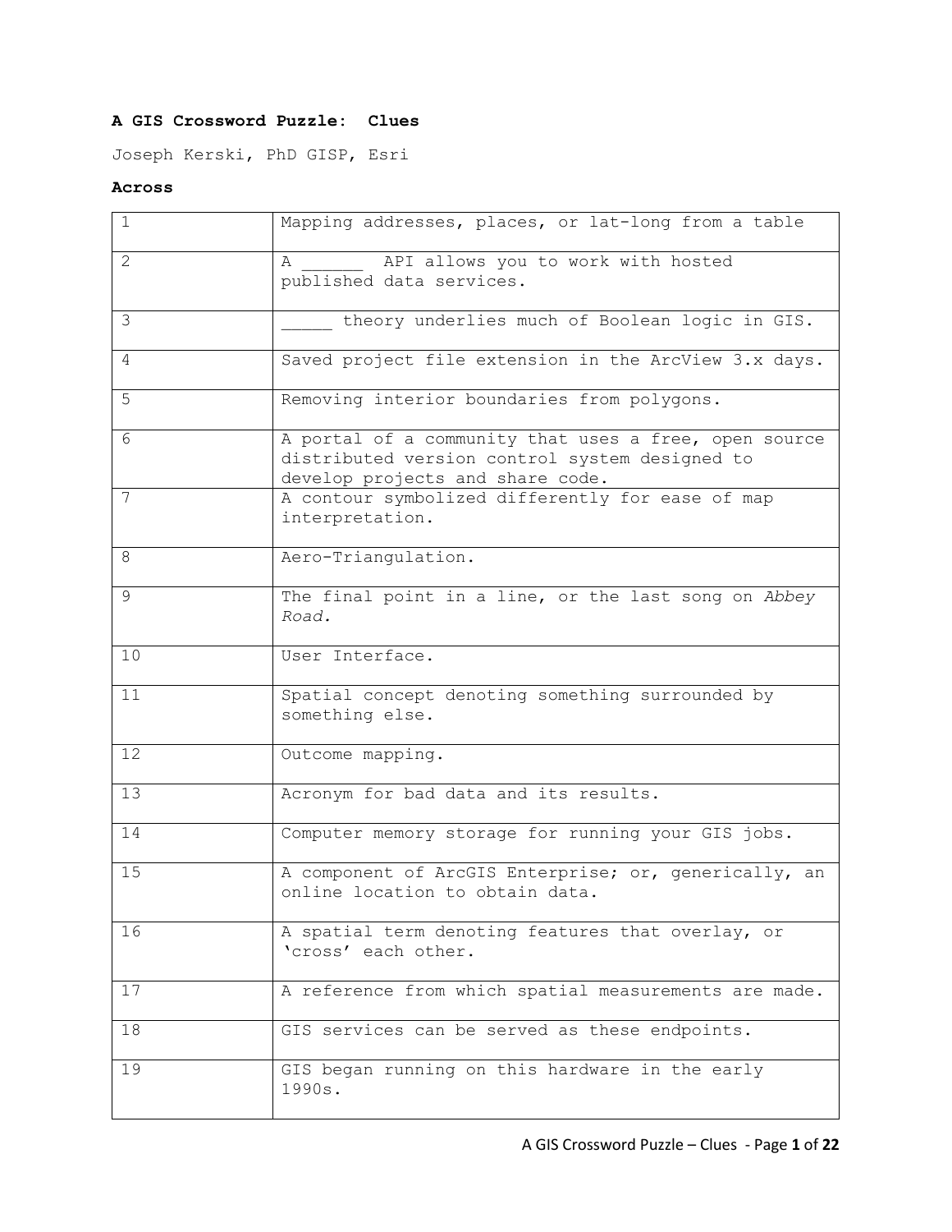## **A GIS Crossword Puzzle: Clues**

Joseph Kerski, PhD GISP, Esri

## **Across**

| $\mathbf{1}$ | Mapping addresses, places, or lat-long from a table                                                                                         |
|--------------|---------------------------------------------------------------------------------------------------------------------------------------------|
| 2            | API allows you to work with hosted<br>А<br>published data services.                                                                         |
| 3            | theory underlies much of Boolean logic in GIS.                                                                                              |
| 4            | Saved project file extension in the ArcView 3.x days.                                                                                       |
| 5            | Removing interior boundaries from polygons.                                                                                                 |
| 6            | A portal of a community that uses a free, open source<br>distributed version control system designed to<br>develop projects and share code. |
| 7            | A contour symbolized differently for ease of map<br>interpretation.                                                                         |
| 8            | Aero-Triangulation.                                                                                                                         |
| 9            | The final point in a line, or the last song on Abbey<br>Road.                                                                               |
| 10           | User Interface.                                                                                                                             |
| 11           | Spatial concept denoting something surrounded by<br>something else.                                                                         |
| 12           | Outcome mapping.                                                                                                                            |
| 13           | Acronym for bad data and its results.                                                                                                       |
| 14           | Computer memory storage for running your GIS jobs.                                                                                          |
| 15           | A component of ArcGIS Enterprise; or, generically, an<br>online location to obtain data.                                                    |
| 16           | A spatial term denoting features that overlay, or<br>'cross' each other.                                                                    |
| 17           | A reference from which spatial measurements are made.                                                                                       |
| 18           | GIS services can be served as these endpoints.                                                                                              |
| 19           | GIS began running on this hardware in the early<br>1990s.                                                                                   |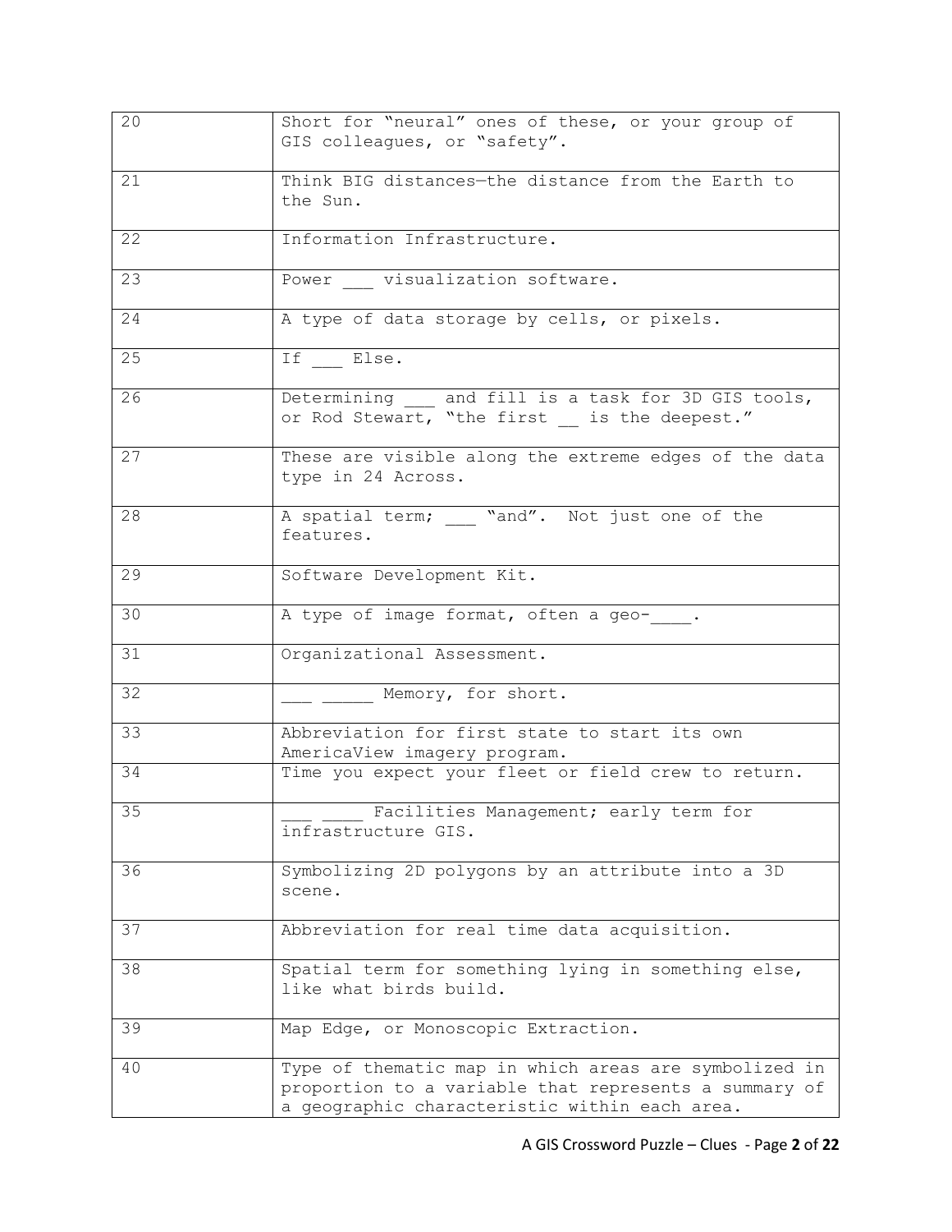| 20 | Short for "neural" ones of these, or your group of<br>GIS colleagues, or "safety".                                                                              |
|----|-----------------------------------------------------------------------------------------------------------------------------------------------------------------|
| 21 | Think BIG distances-the distance from the Earth to<br>the Sun.                                                                                                  |
| 22 | Information Infrastructure.                                                                                                                                     |
| 23 | Power _____ visualization software.                                                                                                                             |
| 24 | A type of data storage by cells, or pixels.                                                                                                                     |
| 25 | If Else.                                                                                                                                                        |
| 26 | Determining __ and fill is a task for 3D GIS tools,<br>or Rod Stewart, "the first __ is the deepest."                                                           |
| 27 | These are visible along the extreme edges of the data<br>type in 24 Across.                                                                                     |
| 28 | A spatial term; "and". Not just one of the<br>features.                                                                                                         |
| 29 | Software Development Kit.                                                                                                                                       |
| 30 | A type of image format, often a geo- .                                                                                                                          |
| 31 | Organizational Assessment.                                                                                                                                      |
| 32 | Memory, for short.                                                                                                                                              |
| 33 | Abbreviation for first state to start its own<br>AmericaView imagery program.                                                                                   |
| 34 | Time you expect your fleet or field crew to return.                                                                                                             |
| 35 | Facilities Management; early term for<br>infrastructure GIS.                                                                                                    |
| 36 | Symbolizing 2D polygons by an attribute into a 3D<br>scene.                                                                                                     |
| 37 | Abbreviation for real time data acquisition.                                                                                                                    |
| 38 | Spatial term for something lying in something else,<br>like what birds build.                                                                                   |
| 39 | Map Edge, or Monoscopic Extraction.                                                                                                                             |
| 40 | Type of thematic map in which areas are symbolized in<br>proportion to a variable that represents a summary of<br>a geographic characteristic within each area. |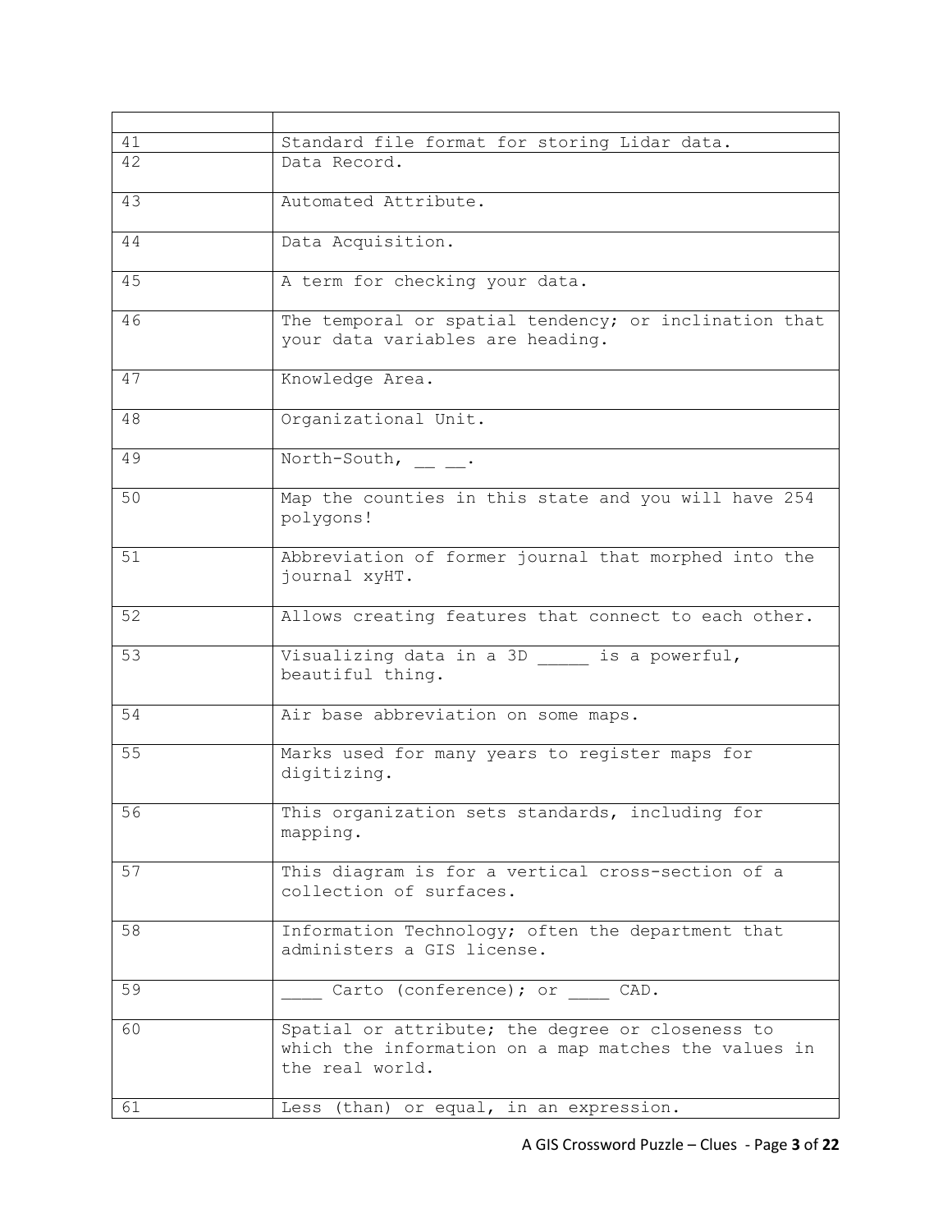| 41 | Standard file format for storing Lidar data.                                                                                |
|----|-----------------------------------------------------------------------------------------------------------------------------|
| 42 | Data Record.                                                                                                                |
| 43 | Automated Attribute.                                                                                                        |
| 44 | Data Acquisition.                                                                                                           |
| 45 | A term for checking your data.                                                                                              |
| 46 | The temporal or spatial tendency; or inclination that<br>your data variables are heading.                                   |
| 47 | Knowledge Area.                                                                                                             |
| 48 | Organizational Unit.                                                                                                        |
| 49 | North-South, .                                                                                                              |
| 50 | Map the counties in this state and you will have 254<br>polygons!                                                           |
| 51 | Abbreviation of former journal that morphed into the<br>journal xyHT.                                                       |
| 52 | Allows creating features that connect to each other.                                                                        |
| 53 | Visualizing data in a 3D _____ is a powerful,<br>beautiful thing.                                                           |
| 54 | Air base abbreviation on some maps.                                                                                         |
| 55 | Marks used for many years to register maps for<br>digitizing.                                                               |
| 56 | This organization sets standards, including for<br>mapping.                                                                 |
| 57 | This diagram is for a vertical cross-section of a<br>collection of surfaces.                                                |
| 58 | Information Technology; often the department that<br>administers a GIS license.                                             |
| 59 | Carto (conference); or CAD.                                                                                                 |
| 60 | Spatial or attribute; the degree or closeness to<br>which the information on a map matches the values in<br>the real world. |
| 61 | Less (than) or equal, in an expression.                                                                                     |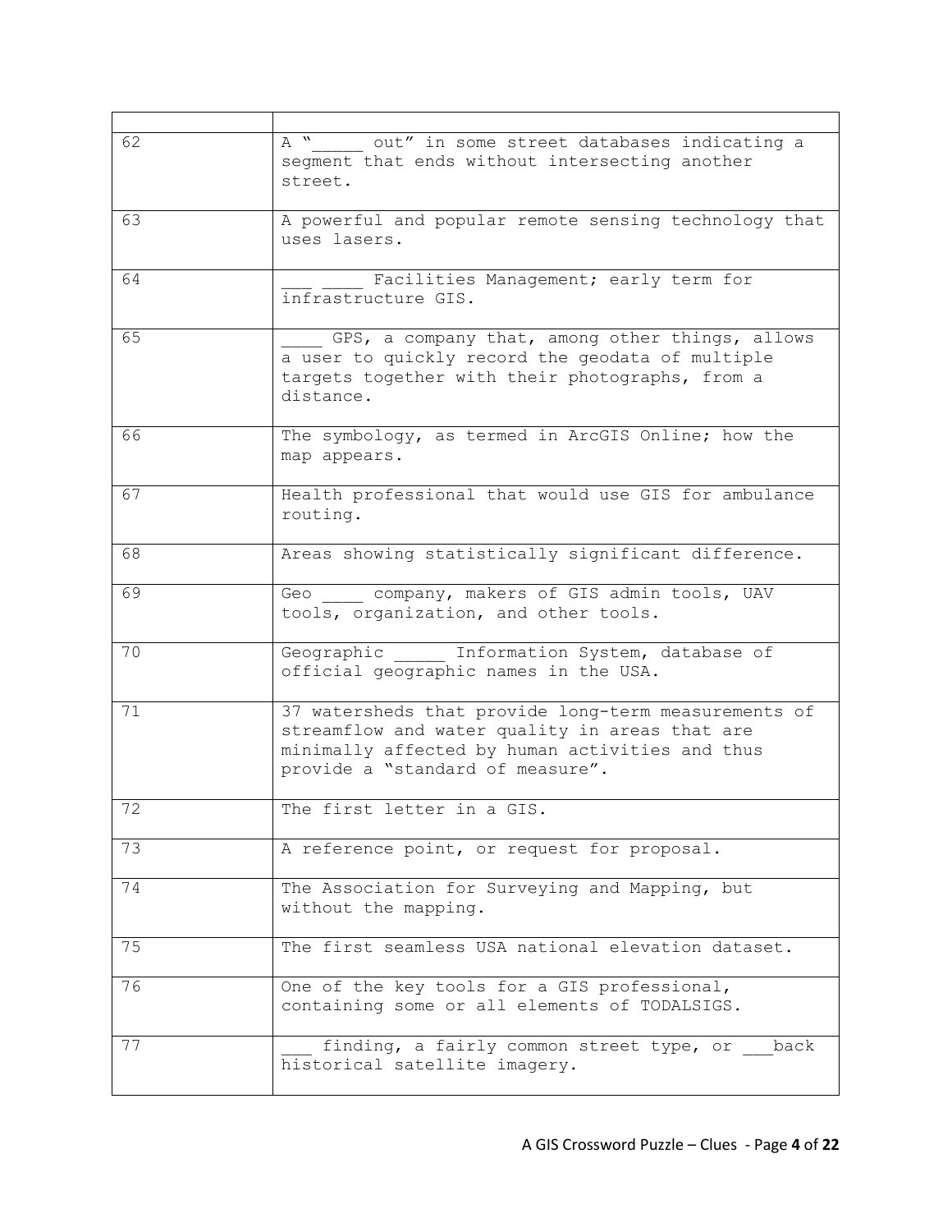| 62 | $A^{\overline{w}}$<br>out" in some street databases indicating a<br>segment that ends without intersecting another<br>street.                                                                 |
|----|-----------------------------------------------------------------------------------------------------------------------------------------------------------------------------------------------|
| 63 | A powerful and popular remote sensing technology that<br>uses lasers.                                                                                                                         |
| 64 | Facilities Management; early term for<br>infrastructure GIS.                                                                                                                                  |
| 65 | GPS, a company that, among other things, allows<br>a user to quickly record the geodata of multiple<br>targets together with their photographs, from a<br>distance.                           |
| 66 | The symbology, as termed in ArcGIS Online; how the<br>map appears.                                                                                                                            |
| 67 | Health professional that would use GIS for ambulance<br>routing.                                                                                                                              |
| 68 | Areas showing statistically significant difference.                                                                                                                                           |
| 69 | Geo company, makers of GIS admin tools, UAV<br>tools, organization, and other tools.                                                                                                          |
| 70 | Geographic Information System, database of<br>official geographic names in the USA.                                                                                                           |
| 71 | 37 watersheds that provide long-term measurements of<br>streamflow and water quality in areas that are<br>minimally affected by human activities and thus<br>provide a "standard of measure". |
| 72 | The first letter in a GIS.                                                                                                                                                                    |
| 73 | A reference point, or request for proposal.                                                                                                                                                   |
| 74 | The Association for Surveying and Mapping, but<br>without the mapping.                                                                                                                        |
| 75 | The first seamless USA national elevation dataset.                                                                                                                                            |
| 76 | One of the key tools for a GIS professional,<br>containing some or all elements of TODALSIGS.                                                                                                 |
| 77 | finding, a fairly common street type, or<br>back<br>historical satellite imagery.                                                                                                             |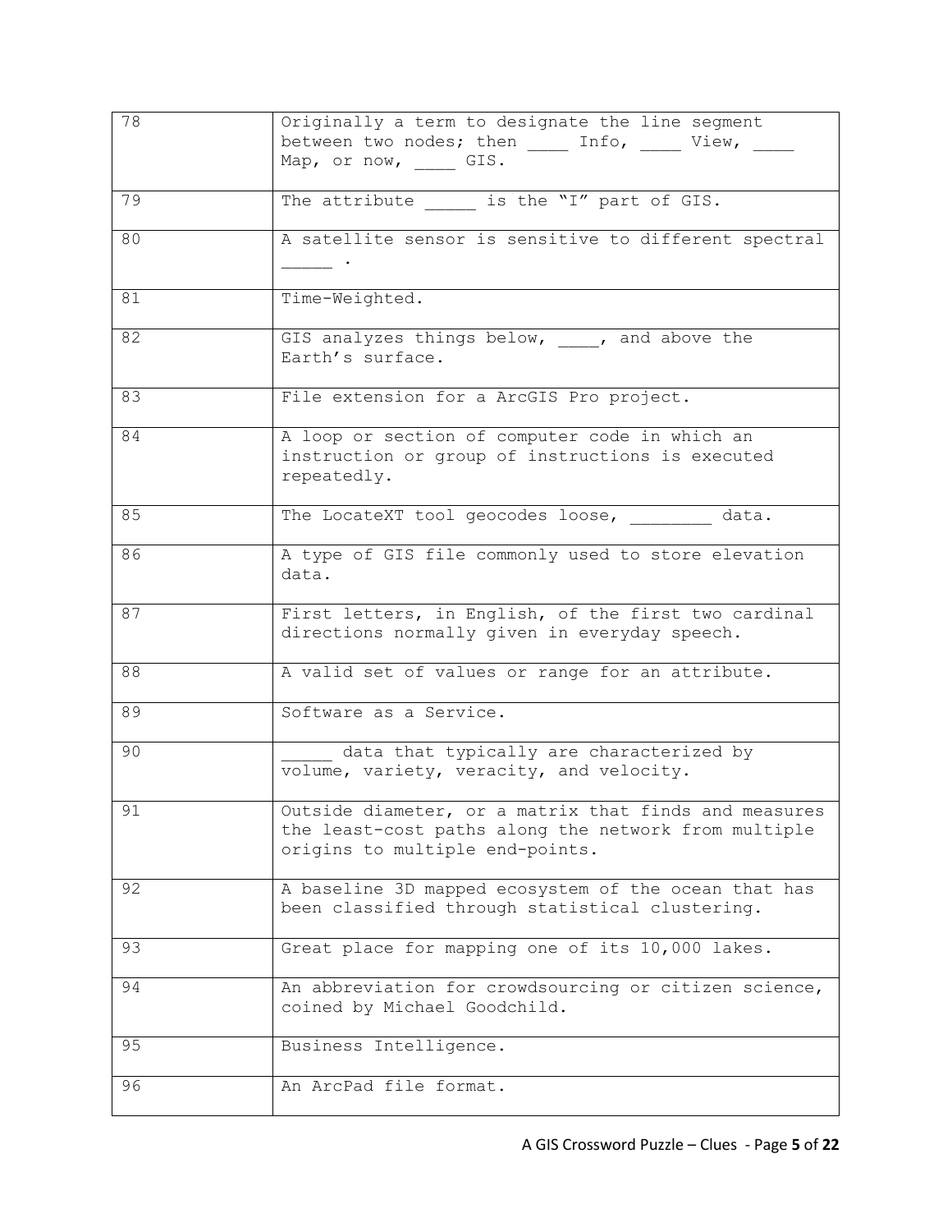| 78 | Originally a term to designate the line segment<br>between two nodes; then Info, View,<br>Map, or now, GIS.                                      |
|----|--------------------------------------------------------------------------------------------------------------------------------------------------|
| 79 | The attribute is the "I" part of GIS.                                                                                                            |
| 80 | A satellite sensor is sensitive to different spectral<br><b>Contract Contract Contract</b>                                                       |
| 81 | Time-Weighted.                                                                                                                                   |
| 82 | GIS analyzes things below, ___, and above the<br>Earth's surface.                                                                                |
| 83 | File extension for a ArcGIS Pro project.                                                                                                         |
| 84 | A loop or section of computer code in which an<br>instruction or group of instructions is executed<br>repeatedly.                                |
| 85 | The LocateXT tool geocodes loose, data.                                                                                                          |
| 86 | A type of GIS file commonly used to store elevation<br>data.                                                                                     |
| 87 | First letters, in English, of the first two cardinal<br>directions normally given in everyday speech.                                            |
| 88 | A valid set of values or range for an attribute.                                                                                                 |
| 89 | Software as a Service.                                                                                                                           |
| 90 | data that typically are characterized by<br>volume, variety, veracity, and velocity.                                                             |
| 91 | Outside diameter, or a matrix that finds and measures<br>the least-cost paths along the network from multiple<br>origins to multiple end-points. |
| 92 | A baseline 3D mapped ecosystem of the ocean that has<br>been classified through statistical clustering.                                          |
| 93 | Great place for mapping one of its 10,000 lakes.                                                                                                 |
| 94 | An abbreviation for crowdsourcing or citizen science,<br>coined by Michael Goodchild.                                                            |
| 95 | Business Intelligence.                                                                                                                           |
| 96 | An ArcPad file format.                                                                                                                           |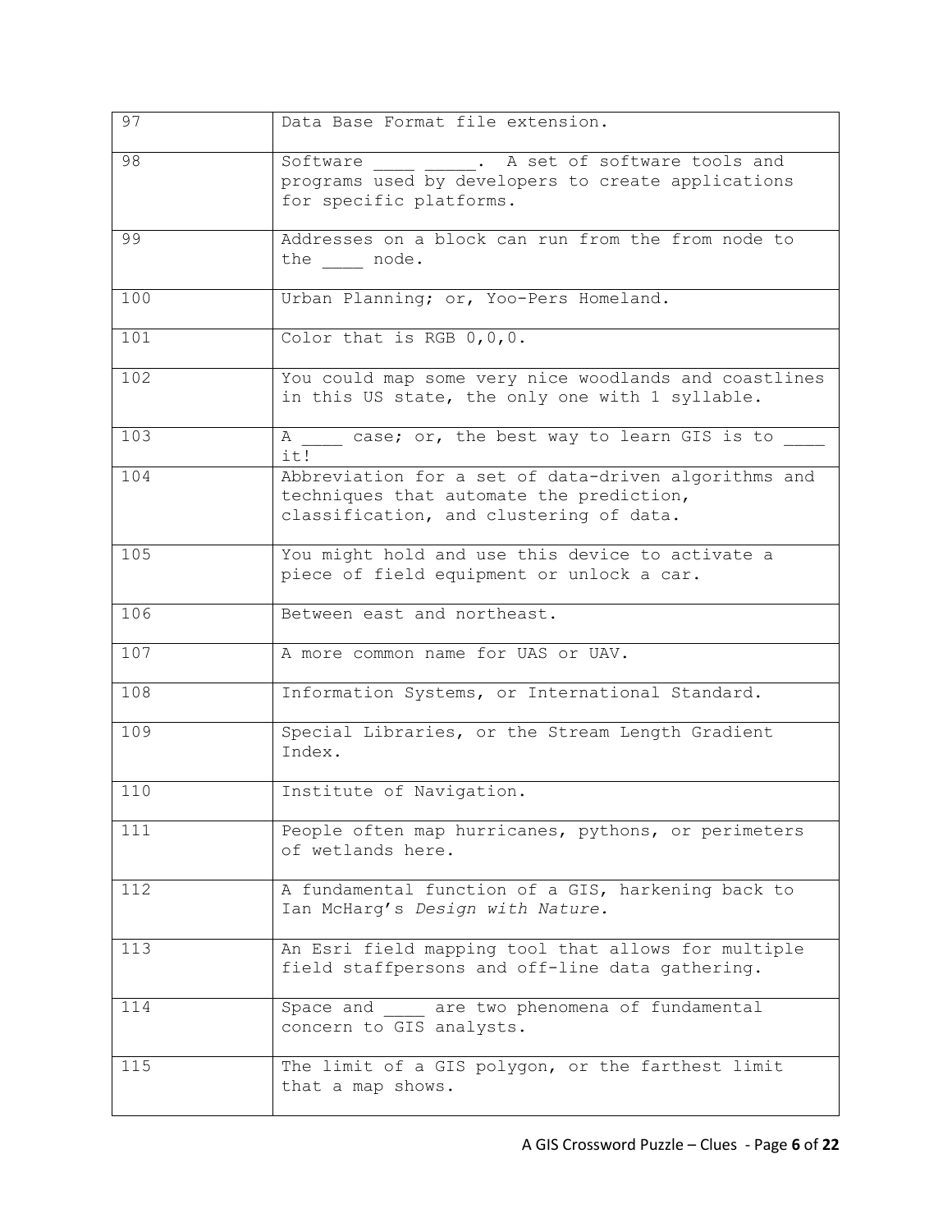| 97              | Data Base Format file extension.                                                                                                            |
|-----------------|---------------------------------------------------------------------------------------------------------------------------------------------|
| $\overline{98}$ | ____ _____. A set of software tools and<br>Software<br>programs used by developers to create applications<br>for specific platforms.        |
| 99              | Addresses on a block can run from the from node to<br>the node.                                                                             |
| 100             | Urban Planning; or, Yoo-Pers Homeland.                                                                                                      |
| 101             | Color that is RGB $0,0,0$ .                                                                                                                 |
| 102             | You could map some very nice woodlands and coastlines<br>in this US state, the only one with 1 syllable.                                    |
| 103             | A case; or, the best way to learn GIS is to<br>it!                                                                                          |
| 104             | Abbreviation for a set of data-driven algorithms and<br>techniques that automate the prediction,<br>classification, and clustering of data. |
| 105             | You might hold and use this device to activate a<br>piece of field equipment or unlock a car.                                               |
| 106             | Between east and northeast.                                                                                                                 |
| 107             | A more common name for UAS or UAV.                                                                                                          |
| 108             | Information Systems, or International Standard.                                                                                             |
| 109             | Special Libraries, or the Stream Length Gradient<br>Index.                                                                                  |
| 110             | Institute of Navigation.                                                                                                                    |
| 111             | People often map hurricanes, pythons, or perimeters<br>of wetlands here.                                                                    |
| 112             | A fundamental function of a GIS, harkening back to<br>Ian McHarg's Design with Nature.                                                      |
| 113             | An Esri field mapping tool that allows for multiple<br>field staffpersons and off-line data gathering.                                      |
| 114             | Space and are two phenomena of fundamental<br>concern to GIS analysts.                                                                      |
| 115             | The limit of a GIS polygon, or the farthest limit<br>that a map shows.                                                                      |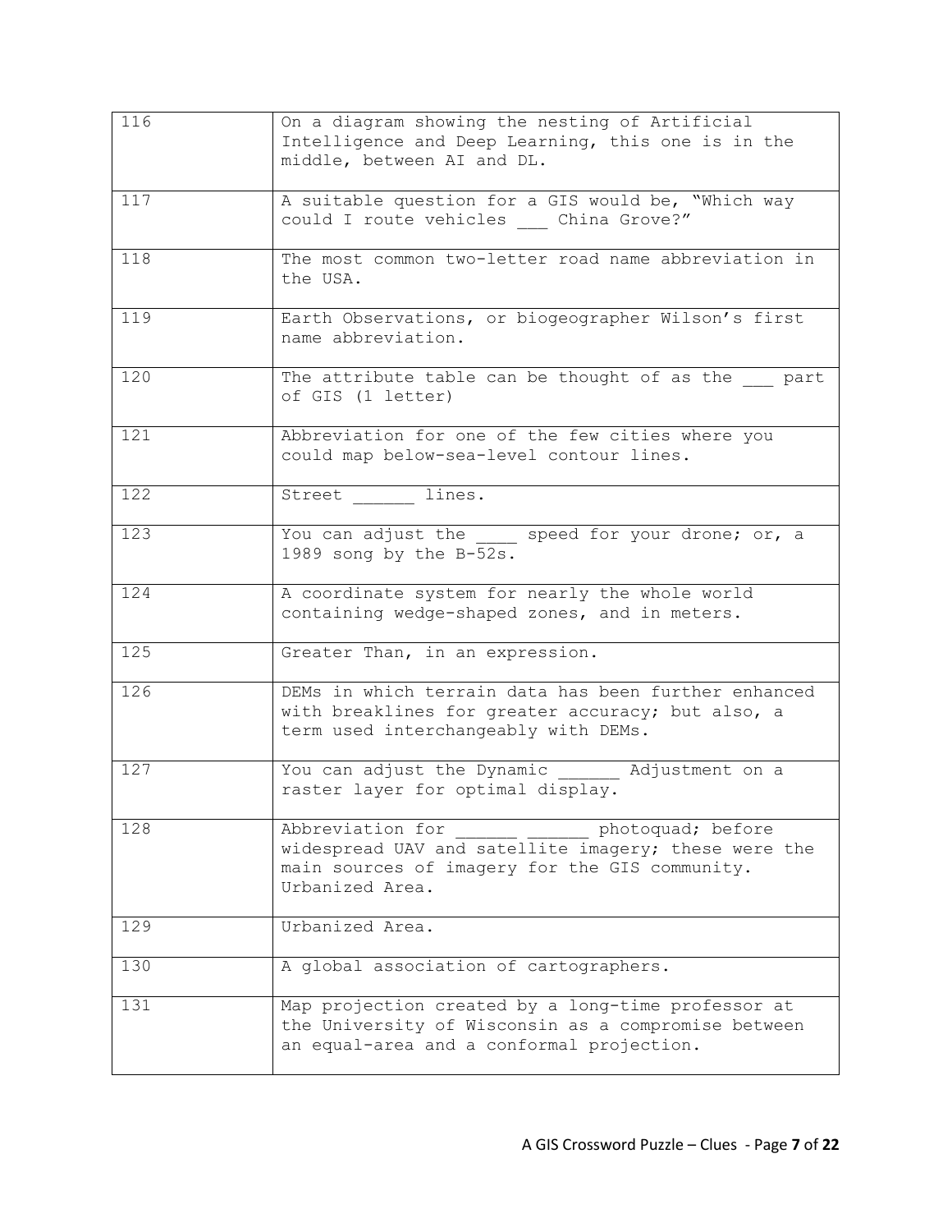| 116              | On a diagram showing the nesting of Artificial<br>Intelligence and Deep Learning, this one is in the<br>middle, between AI and DL.                                 |
|------------------|--------------------------------------------------------------------------------------------------------------------------------------------------------------------|
| 117              | A suitable question for a GIS would be, "Which way<br>could I route vehicles  China Grove?"                                                                        |
| 118              | The most common two-letter road name abbreviation in<br>the USA.                                                                                                   |
| 119              | Earth Observations, or biogeographer Wilson's first<br>name abbreviation.                                                                                          |
| 120              | The attribute table can be thought of as the part<br>of GIS (1 letter)                                                                                             |
| 121              | Abbreviation for one of the few cities where you<br>could map below-sea-level contour lines.                                                                       |
| 122              | Street lines.                                                                                                                                                      |
| 123              | You can adjust the speed for your drone; or, a<br>1989 song by the B-52s.                                                                                          |
| 124              | A coordinate system for nearly the whole world<br>containing wedge-shaped zones, and in meters.                                                                    |
| $\overline{125}$ | Greater Than, in an expression.                                                                                                                                    |
| 126              | DEMs in which terrain data has been further enhanced<br>with breaklines for greater accuracy; but also, a<br>term used interchangeably with DEMs.                  |
| 127              | You can adjust the Dynamic<br>Adjustment on a<br>raster layer for optimal display.                                                                                 |
| 128              | Abbreviation for<br>photoquad; before<br>widespread UAV and satellite imagery; these were the<br>main sources of imagery for the GIS community.<br>Urbanized Area. |
| 129              | Urbanized Area.                                                                                                                                                    |
| 130              | A global association of cartographers.                                                                                                                             |
| 131              | Map projection created by a long-time professor at<br>the University of Wisconsin as a compromise between<br>an equal-area and a conformal projection.             |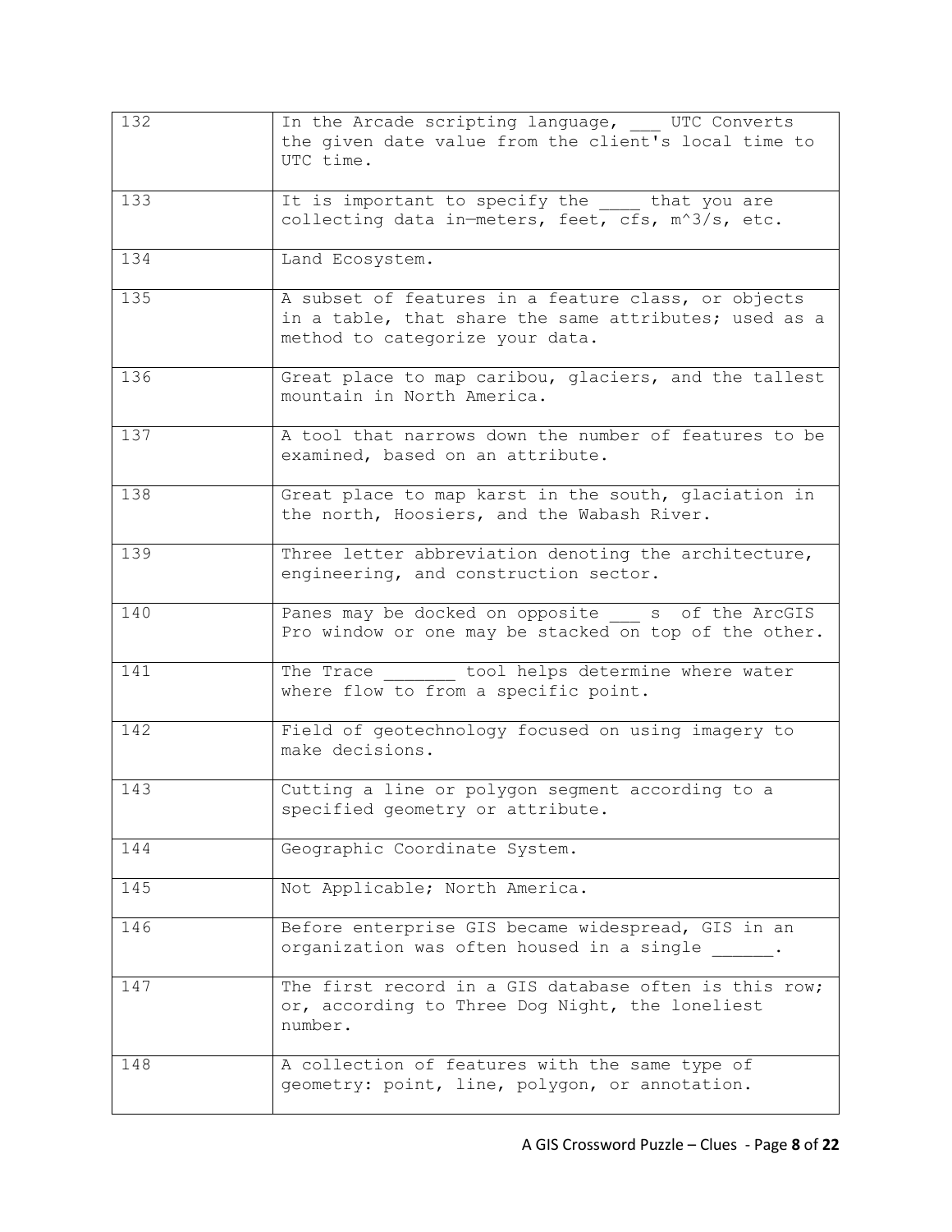| 132 | In the Arcade scripting language, UTC Converts<br>the given date value from the client's local time to<br>UTC time.                             |
|-----|-------------------------------------------------------------------------------------------------------------------------------------------------|
| 133 | It is important to specify the _____ that you are<br>collecting data in-meters, feet, cfs, m^3/s, etc.                                          |
| 134 | Land Ecosystem.                                                                                                                                 |
| 135 | A subset of features in a feature class, or objects<br>in a table, that share the same attributes; used as a<br>method to categorize your data. |
| 136 | Great place to map caribou, glaciers, and the tallest<br>mountain in North America.                                                             |
| 137 | A tool that narrows down the number of features to be<br>examined, based on an attribute.                                                       |
| 138 | Great place to map karst in the south, glaciation in<br>the north, Hoosiers, and the Wabash River.                                              |
| 139 | Three letter abbreviation denoting the architecture,<br>engineering, and construction sector.                                                   |
| 140 | Panes may be docked on opposite s of the ArcGIS<br>Pro window or one may be stacked on top of the other.                                        |
| 141 | tool helps determine where water<br>The Trace<br>where flow to from a specific point.                                                           |
| 142 | Field of geotechnology focused on using imagery to<br>make decisions.                                                                           |
| 143 | Cutting a line or polygon segment according to a<br>specified geometry or attribute.                                                            |
| 144 | Geographic Coordinate System.                                                                                                                   |
| 145 | Not Applicable; North America.                                                                                                                  |
| 146 | Before enterprise GIS became widespread, GIS in an<br>organization was often housed in a single .                                               |
| 147 | The first record in a GIS database often is this row;<br>or, according to Three Dog Night, the loneliest<br>number.                             |
| 148 | A collection of features with the same type of<br>geometry: point, line, polygon, or annotation.                                                |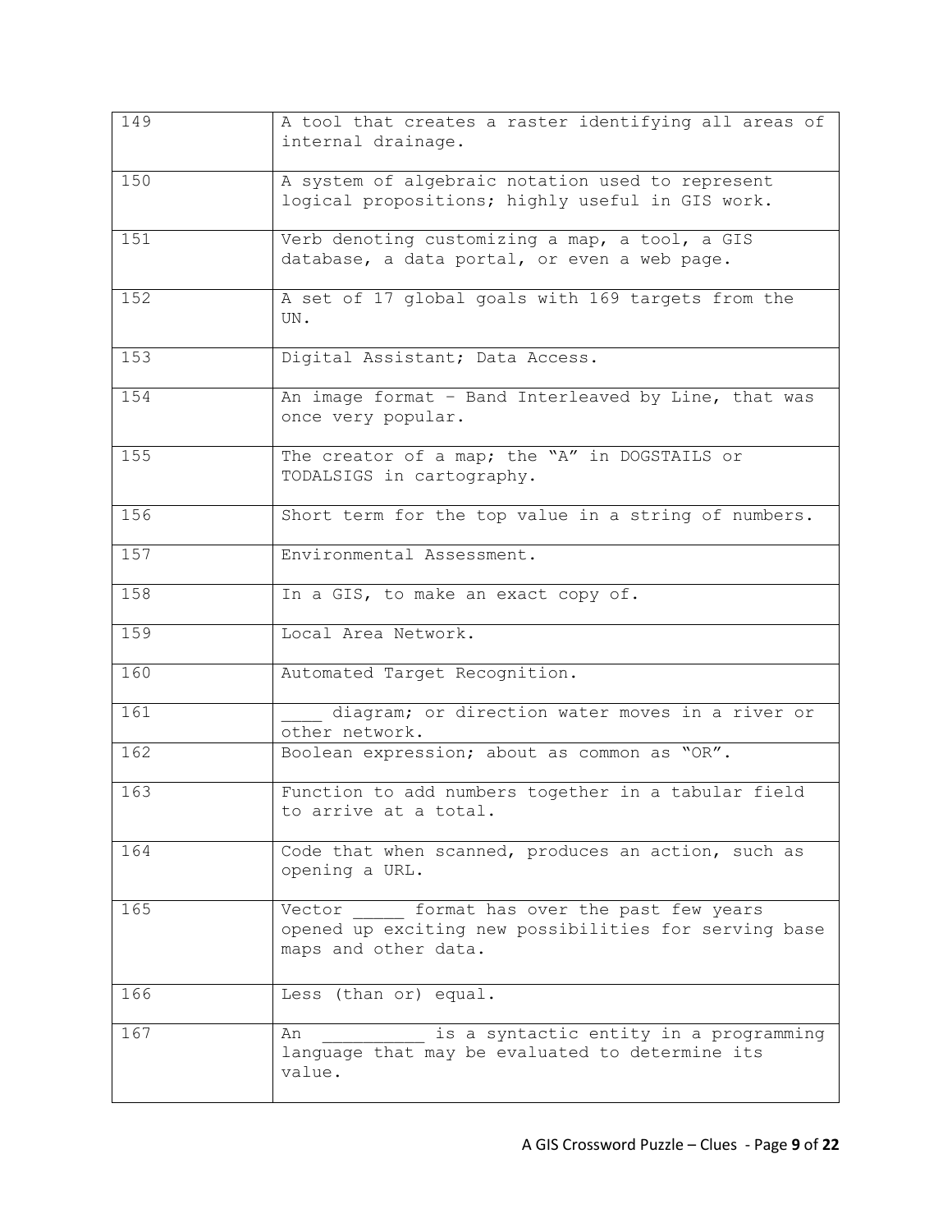| 149 | A tool that creates a raster identifying all areas of<br>internal drainage.                                                   |
|-----|-------------------------------------------------------------------------------------------------------------------------------|
| 150 | A system of algebraic notation used to represent<br>logical propositions; highly useful in GIS work.                          |
| 151 | Verb denoting customizing a map, a tool, a GIS<br>database, a data portal, or even a web page.                                |
| 152 | A set of 17 global goals with 169 targets from the<br>UN.                                                                     |
| 153 | Digital Assistant; Data Access.                                                                                               |
| 154 | An image format - Band Interleaved by Line, that was<br>once very popular.                                                    |
| 155 | The creator of a map; the "A" in DOGSTAILS or<br>TODALSIGS in cartography.                                                    |
| 156 | Short term for the top value in a string of numbers.                                                                          |
| 157 | Environmental Assessment.                                                                                                     |
| 158 | In a GIS, to make an exact copy of.                                                                                           |
| 159 | Local Area Network.                                                                                                           |
| 160 | Automated Target Recognition.                                                                                                 |
| 161 | diagram; or direction water moves in a river or<br>other network.                                                             |
| 162 | Boolean expression; about as common as "OR".                                                                                  |
| 163 | Function to add numbers together in a tabular field<br>to arrive at a total.                                                  |
| 164 | Code that when scanned, produces an action, such as<br>opening a URL.                                                         |
| 165 | format has over the past few years<br>Vector<br>opened up exciting new possibilities for serving base<br>maps and other data. |
| 166 | Less (than or) equal.                                                                                                         |
| 167 | is a syntactic entity in a programming<br>An<br>language that may be evaluated to determine its<br>value.                     |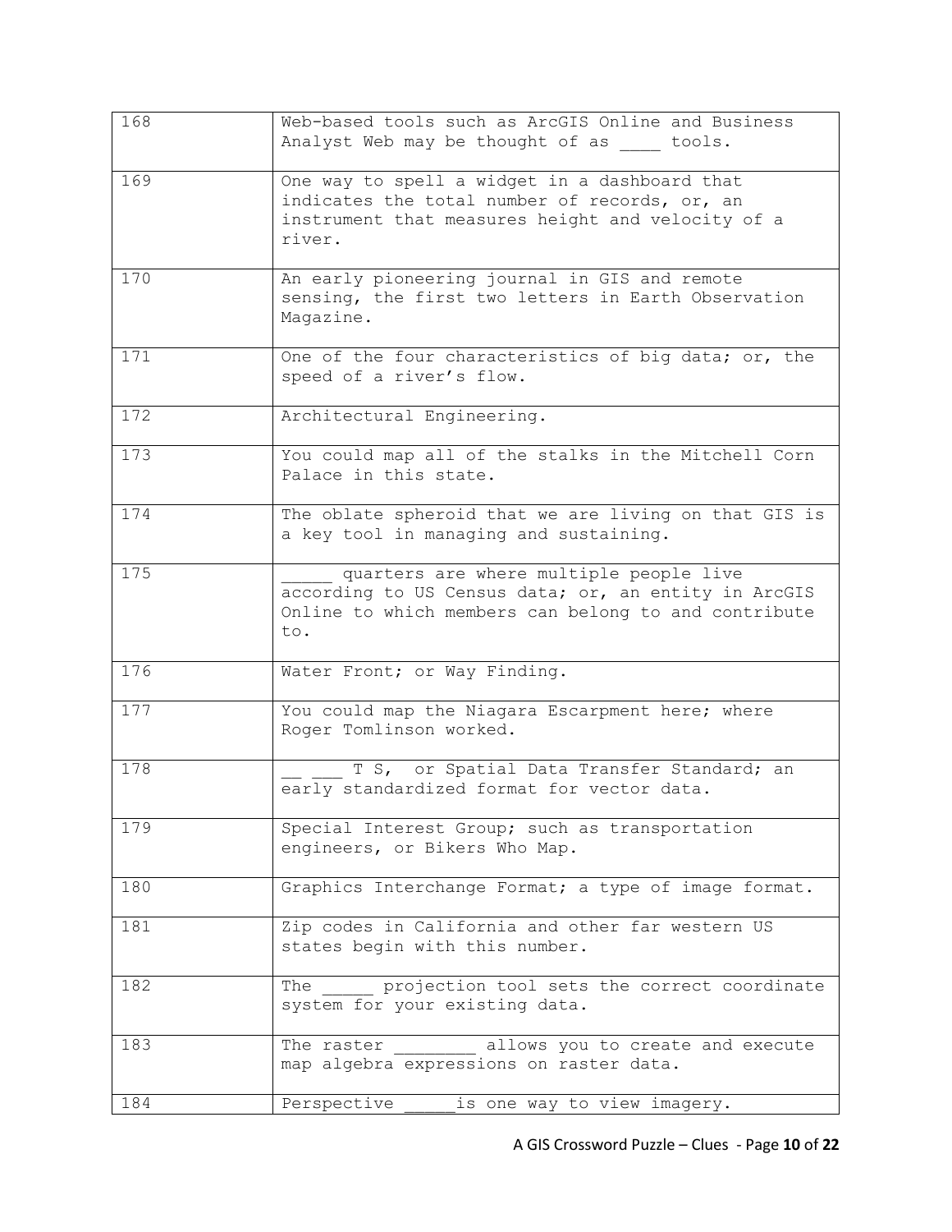| 168 | Web-based tools such as ArcGIS Online and Business<br>Analyst Web may be thought of as tools.                                                                  |
|-----|----------------------------------------------------------------------------------------------------------------------------------------------------------------|
| 169 | One way to spell a widget in a dashboard that<br>indicates the total number of records, or, an<br>instrument that measures height and velocity of a<br>river.  |
| 170 | An early pioneering journal in GIS and remote<br>sensing, the first two letters in Earth Observation<br>Magazine.                                              |
| 171 | One of the four characteristics of big data; or, the<br>speed of a river's flow.                                                                               |
| 172 | Architectural Engineering.                                                                                                                                     |
| 173 | You could map all of the stalks in the Mitchell Corn<br>Palace in this state.                                                                                  |
| 174 | The oblate spheroid that we are living on that GIS is<br>a key tool in managing and sustaining.                                                                |
| 175 | quarters are where multiple people live<br>according to US Census data; or, an entity in ArcGIS<br>Online to which members can belong to and contribute<br>to. |
| 176 | Water Front; or Way Finding.                                                                                                                                   |
| 177 | You could map the Niagara Escarpment here; where<br>Roger Tomlinson worked.                                                                                    |
| 178 | T S, or Spatial Data Transfer Standard; an<br>early standardized format for vector data.                                                                       |
| 179 | Special Interest Group; such as transportation<br>engineers, or Bikers Who Map.                                                                                |
| 180 | Graphics Interchange Format; a type of image format.                                                                                                           |
| 181 | Zip codes in California and other far western US<br>states begin with this number.                                                                             |
| 182 | projection tool sets the correct coordinate<br>The<br>system for your existing data.                                                                           |
| 183 | allows you to create and execute<br>The raster<br>map algebra expressions on raster data.                                                                      |
| 184 | Perspective<br>is one way to view imagery.                                                                                                                     |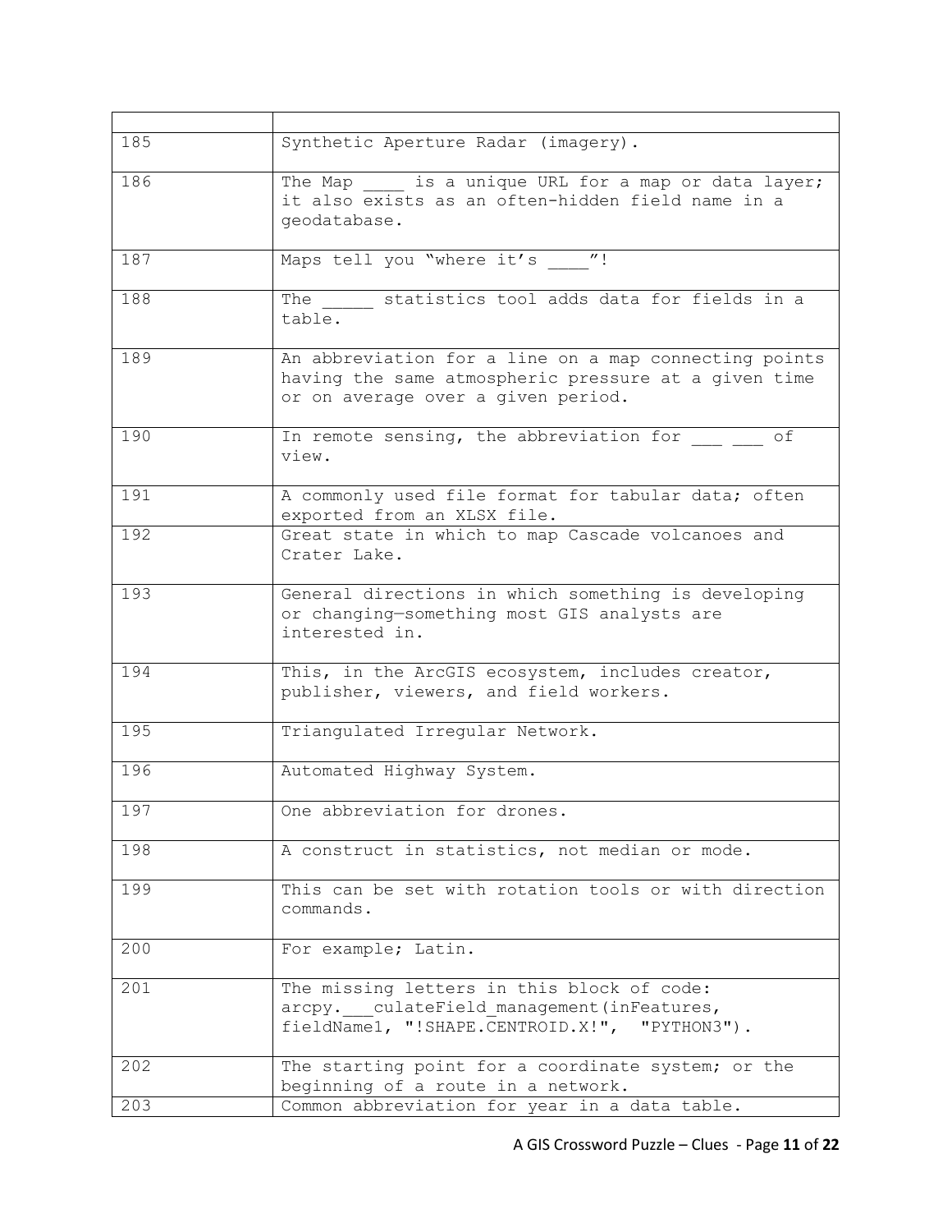| 185 | Synthetic Aperture Radar (imagery).                                                                                                                 |
|-----|-----------------------------------------------------------------------------------------------------------------------------------------------------|
| 186 | The Map is a unique URL for a map or data layer;<br>it also exists as an often-hidden field name in a<br>geodatabase.                               |
| 187 | Maps tell you "where it's "!                                                                                                                        |
| 188 | statistics tool adds data for fields in a<br>The<br>table.                                                                                          |
| 189 | An abbreviation for a line on a map connecting points<br>having the same atmospheric pressure at a given time<br>or on average over a given period. |
| 190 | In remote sensing, the abbreviation for<br>оf<br>view.                                                                                              |
| 191 | A commonly used file format for tabular data; often<br>exported from an XLSX file.                                                                  |
| 192 | Great state in which to map Cascade volcanoes and<br>Crater Lake.                                                                                   |
| 193 | General directions in which something is developing<br>or changing-something most GIS analysts are<br>interested in.                                |
| 194 | This, in the ArcGIS ecosystem, includes creator,<br>publisher, viewers, and field workers.                                                          |
| 195 | Triangulated Irregular Network.                                                                                                                     |
| 196 | Automated Highway System.                                                                                                                           |
| 197 | One abbreviation for drones.                                                                                                                        |
| 198 | A construct in statistics, not median or mode.                                                                                                      |
| 199 | This can be set with rotation tools or with direction<br>commands.                                                                                  |
| 200 | For example; Latin.                                                                                                                                 |
| 201 | The missing letters in this block of code:<br>arcpy. culateField management (inFeatures,<br>fieldName1, "!SHAPE.CENTROID.X!", "PYTHON3").           |
| 202 | The starting point for a coordinate system; or the<br>beginning of a route in a network.                                                            |
| 203 | Common abbreviation for year in a data table.                                                                                                       |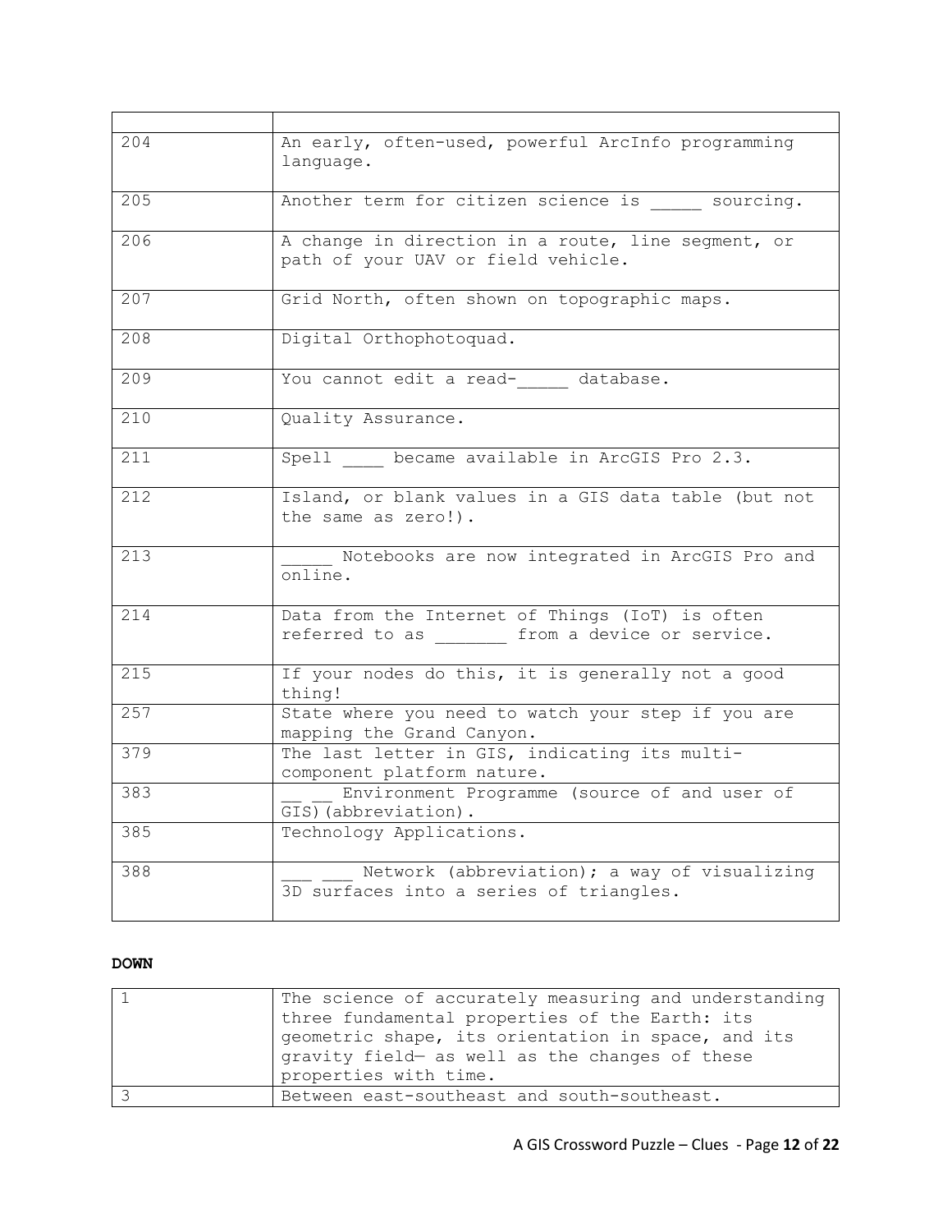| 204 | An early, often-used, powerful ArcInfo programming<br>language.                                    |
|-----|----------------------------------------------------------------------------------------------------|
| 205 | Another term for citizen science is _____ sourcing.                                                |
| 206 | A change in direction in a route, line segment, or<br>path of your UAV or field vehicle.           |
| 207 | Grid North, often shown on topographic maps.                                                       |
| 208 | Digital Orthophotoquad.                                                                            |
| 209 | You cannot edit a read- database.                                                                  |
| 210 | Quality Assurance.                                                                                 |
| 211 | Spell _____ became available in ArcGIS Pro 2.3.                                                    |
| 212 | Island, or blank values in a GIS data table (but not<br>the same as zero!).                        |
| 213 | Notebooks are now integrated in ArcGIS Pro and<br>online.                                          |
| 214 | Data from the Internet of Things (IoT) is often<br>referred to as ______ from a device or service. |
| 215 | If your nodes do this, it is generally not a good<br>thing!                                        |
| 257 | State where you need to watch your step if you are<br>mapping the Grand Canyon.                    |
| 379 | The last letter in GIS, indicating its multi-<br>component platform nature.                        |
| 383 | Environment Programme (source of and user of<br>GIS) (abbreviation).                               |
| 385 | Technology Applications.                                                                           |
| 388 | Network (abbreviation); a way of visualizing<br>3D surfaces into a series of triangles.            |

## **DOWN**

| The science of accurately measuring and understanding                                                |
|------------------------------------------------------------------------------------------------------|
| three fundamental properties of the Earth: its                                                       |
| geometric shape, its orientation in space, and its<br>gravity field- as well as the changes of these |
|                                                                                                      |
| properties with time.                                                                                |
| Between east-southeast and south-southeast.                                                          |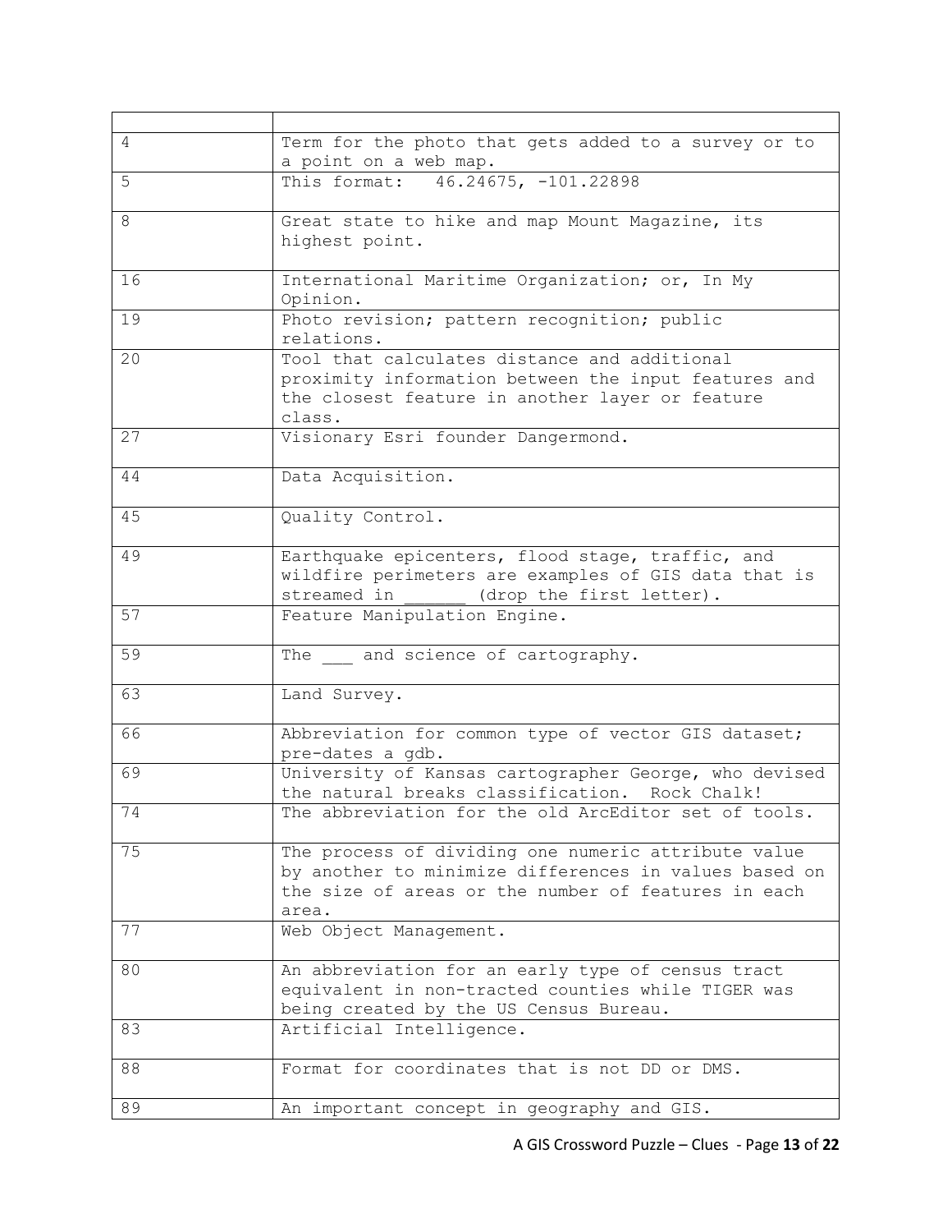| 4  | Term for the photo that gets added to a survey or to      |
|----|-----------------------------------------------------------|
|    | a point on a web map.                                     |
| 5  | This format: 46.24675, -101.22898                         |
| 8  | Great state to hike and map Mount Magazine, its           |
|    | highest point.                                            |
| 16 | International Maritime Organization; or, In My            |
|    | Opinion.                                                  |
| 19 | Photo revision; pattern recognition; public               |
|    | relations.                                                |
| 20 | Tool that calculates distance and additional              |
|    | proximity information between the input features and      |
|    | the closest feature in another layer or feature<br>class. |
| 27 | Visionary Esri founder Dangermond.                        |
|    |                                                           |
| 44 | Data Acquisition.                                         |
| 45 | Quality Control.                                          |
| 49 | Earthquake epicenters, flood stage, traffic, and          |
|    | wildfire perimeters are examples of GIS data that is      |
|    | streamed in (drop the first letter).                      |
| 57 | Feature Manipulation Engine.                              |
| 59 | The and science of cartography.                           |
| 63 | Land Survey.                                              |
| 66 | Abbreviation for common type of vector GIS dataset;       |
|    | pre-dates a gdb.                                          |
| 69 | University of Kansas cartographer George, who devised     |
|    | the natural breaks classification. Rock Chalk!            |
| 74 | The abbreviation for the old ArcEditor set of tools.      |
| 75 | The process of dividing one numeric attribute value       |
|    | by another to minimize differences in values based on     |
|    | the size of areas or the number of features in each       |
|    | area.                                                     |
| 77 | Web Object Management.                                    |
| 80 | An abbreviation for an early type of census tract         |
|    | equivalent in non-tracted counties while TIGER was        |
|    | being created by the US Census Bureau.                    |
| 83 | Artificial Intelligence.                                  |
|    |                                                           |
| 88 | Format for coordinates that is not DD or DMS.             |
| 89 | An important concept in geography and GIS.                |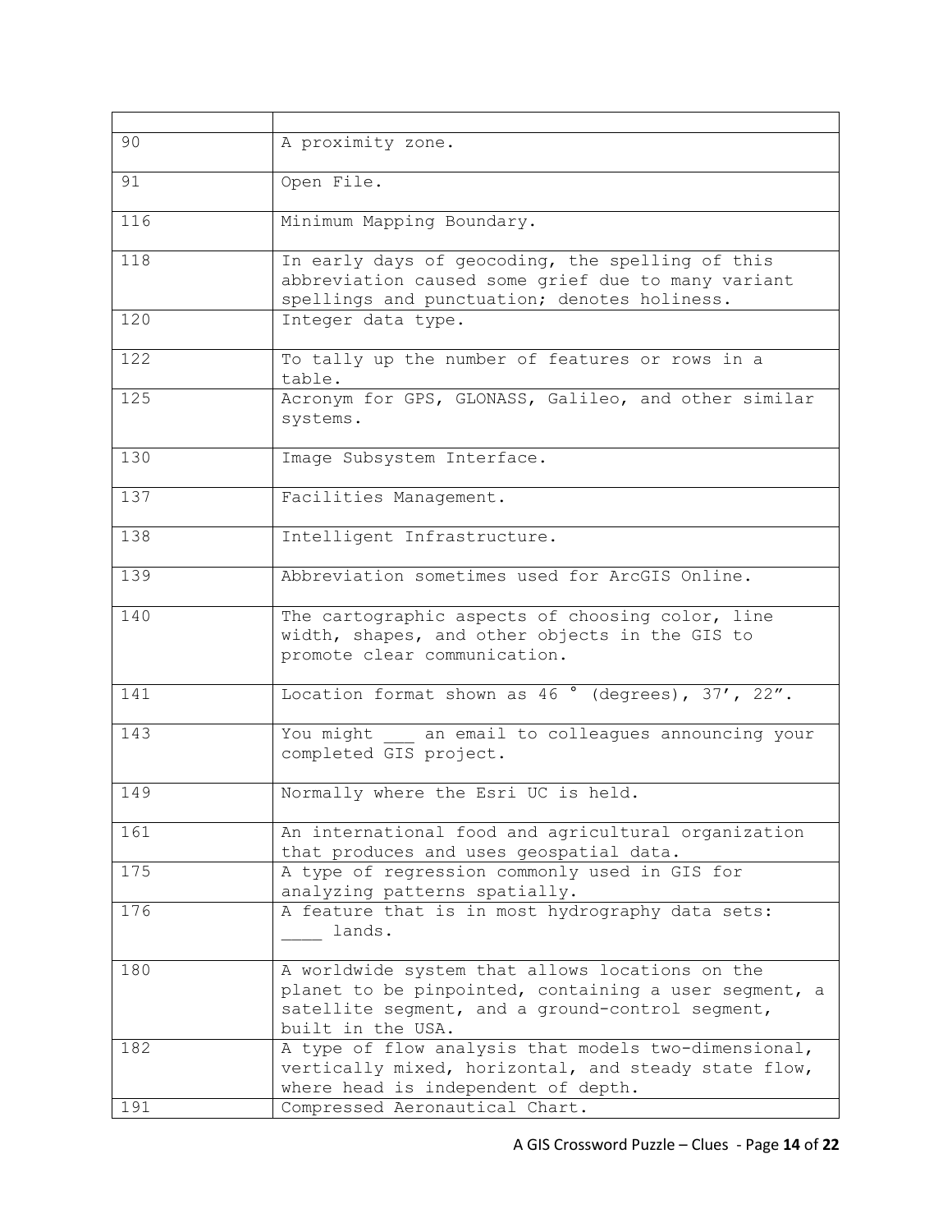| 90  | A proximity zone.                                                                                                                                                                 |
|-----|-----------------------------------------------------------------------------------------------------------------------------------------------------------------------------------|
| 91  | Open File.                                                                                                                                                                        |
| 116 | Minimum Mapping Boundary.                                                                                                                                                         |
| 118 | In early days of geocoding, the spelling of this<br>abbreviation caused some grief due to many variant<br>spellings and punctuation; denotes holiness.                            |
| 120 | Integer data type.                                                                                                                                                                |
| 122 | To tally up the number of features or rows in a<br>table.                                                                                                                         |
| 125 | Acronym for GPS, GLONASS, Galileo, and other similar<br>systems.                                                                                                                  |
| 130 | Image Subsystem Interface.                                                                                                                                                        |
| 137 | Facilities Management.                                                                                                                                                            |
| 138 | Intelligent Infrastructure.                                                                                                                                                       |
| 139 | Abbreviation sometimes used for ArcGIS Online.                                                                                                                                    |
| 140 | The cartographic aspects of choosing color, line<br>width, shapes, and other objects in the GIS to<br>promote clear communication.                                                |
| 141 | Location format shown as 46 ° (degrees), 37', 22".                                                                                                                                |
| 143 | You might an email to colleagues announcing your<br>completed GIS project.                                                                                                        |
| 149 | Normally where the Esri UC is held.                                                                                                                                               |
| 161 | An international food and agricultural organization<br>that produces and uses geospatial data.                                                                                    |
| 175 | A type of regression commonly used in GIS for<br>analyzing patterns spatially.                                                                                                    |
| 176 | A feature that is in most hydrography data sets:<br>lands.                                                                                                                        |
| 180 | A worldwide system that allows locations on the<br>planet to be pinpointed, containing a user segment, a<br>satellite segment, and a ground-control segment,<br>built in the USA. |
| 182 | A type of flow analysis that models two-dimensional,<br>vertically mixed, horizontal, and steady state flow,<br>where head is independent of depth.                               |
| 191 | Compressed Aeronautical Chart.                                                                                                                                                    |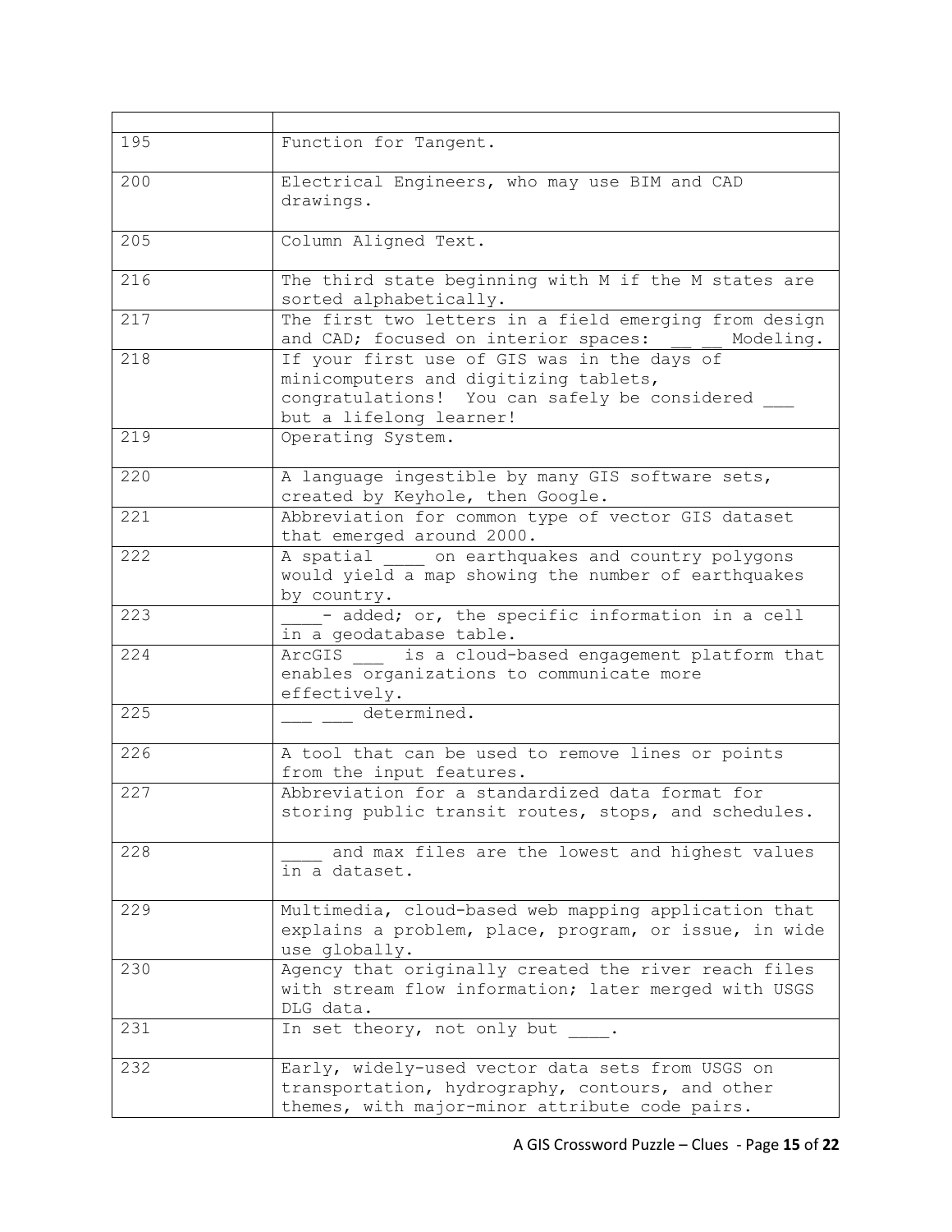| 195 | Function for Tangent.                                                                                                                                            |
|-----|------------------------------------------------------------------------------------------------------------------------------------------------------------------|
| 200 | Electrical Engineers, who may use BIM and CAD<br>drawings.                                                                                                       |
| 205 | Column Aligned Text.                                                                                                                                             |
| 216 | The third state beginning with M if the M states are<br>sorted alphabetically.                                                                                   |
| 217 | The first two letters in a field emerging from design<br>and CAD; focused on interior spaces: _ _ _<br>Modeling.                                                 |
| 218 | If your first use of GIS was in the days of<br>minicomputers and digitizing tablets,<br>congratulations! You can safely be considered<br>but a lifelong learner! |
| 219 | Operating System.                                                                                                                                                |
| 220 | A language ingestible by many GIS software sets,<br>created by Keyhole, then Google.                                                                             |
| 221 | Abbreviation for common type of vector GIS dataset<br>that emerged around 2000.                                                                                  |
| 222 | A spatial on earthquakes and country polygons<br>would yield a map showing the number of earthquakes<br>by country.                                              |
| 223 | - added; or, the specific information in a cell<br>in a geodatabase table.                                                                                       |
| 224 | ArcGIS is a cloud-based engagement platform that<br>enables organizations to communicate more<br>effectively.                                                    |
| 225 | determined.                                                                                                                                                      |
| 226 | A tool that can be used to remove lines or points<br>from the input features.                                                                                    |
| 227 | Abbreviation for a standardized data format for<br>storing public transit routes, stops, and schedules.                                                          |
| 228 | and max files are the lowest and highest values<br>in a dataset.                                                                                                 |
| 229 | Multimedia, cloud-based web mapping application that<br>explains a problem, place, program, or issue, in wide<br>use globally.                                   |
| 230 | Agency that originally created the river reach files<br>with stream flow information; later merged with USGS<br>DLG data.                                        |
| 231 | In set theory, not only but                                                                                                                                      |
| 232 | Early, widely-used vector data sets from USGS on<br>transportation, hydrography, contours, and other<br>themes, with major-minor attribute code pairs.           |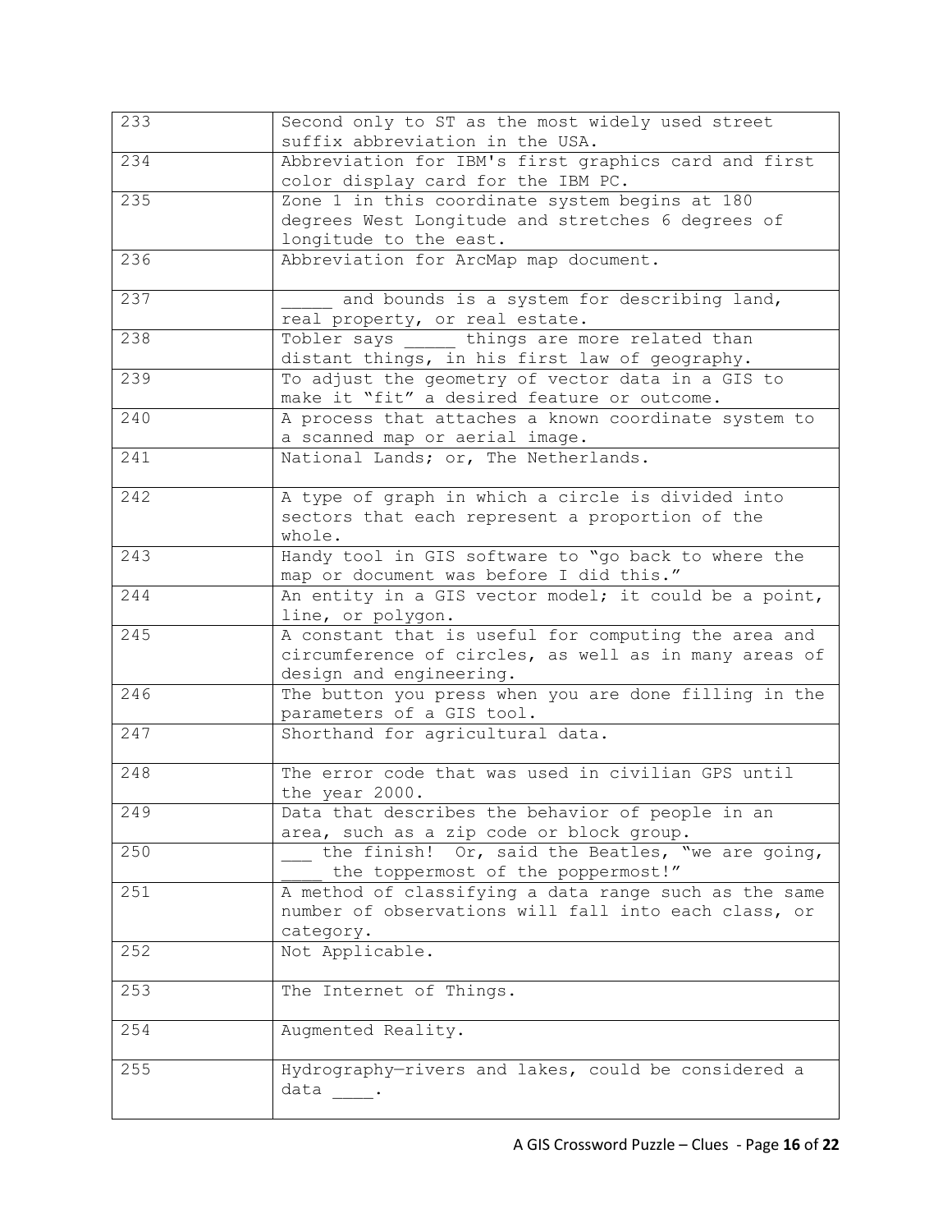| 233 | Second only to ST as the most widely used street<br>suffix abbreviation in the USA.                                                      |
|-----|------------------------------------------------------------------------------------------------------------------------------------------|
| 234 | Abbreviation for IBM's first graphics card and first<br>color display card for the IBM PC.                                               |
| 235 | Zone 1 in this coordinate system begins at 180<br>degrees West Longitude and stretches 6 degrees of<br>longitude to the east.            |
| 236 | Abbreviation for ArcMap map document.                                                                                                    |
| 237 | and bounds is a system for describing land,<br>real property, or real estate.                                                            |
| 238 | Tobler says bhings are more related than<br>distant things, in his first law of geography.                                               |
| 239 | To adjust the geometry of vector data in a GIS to<br>make it "fit" a desired feature or outcome.                                         |
| 240 | A process that attaches a known coordinate system to<br>a scanned map or aerial image.                                                   |
| 241 | National Lands; or, The Netherlands.                                                                                                     |
| 242 | A type of graph in which a circle is divided into<br>sectors that each represent a proportion of the<br>whole.                           |
| 243 | Handy tool in GIS software to "go back to where the<br>map or document was before I did this."                                           |
| 244 | An entity in a GIS vector model; it could be a point,<br>line, or polygon.                                                               |
| 245 | A constant that is useful for computing the area and<br>circumference of circles, as well as in many areas of<br>design and engineering. |
| 246 | The button you press when you are done filling in the<br>parameters of a GIS tool.                                                       |
| 247 | Shorthand for agricultural data.                                                                                                         |
| 248 | The error code that was used in civilian GPS until<br>the year 2000.                                                                     |
| 249 | Data that describes the behavior of people in an<br>area, such as a zip code or block group.                                             |
| 250 | the finish! Or, said the Beatles, "we are going,<br>the toppermost of the poppermost!"                                                   |
| 251 | A method of classifying a data range such as the same<br>number of observations will fall into each class, or<br>category.               |
| 252 | Not Applicable.                                                                                                                          |
| 253 | The Internet of Things.                                                                                                                  |
| 254 | Augmented Reality.                                                                                                                       |
| 255 | Hydrography-rivers and lakes, could be considered a<br>data                                                                              |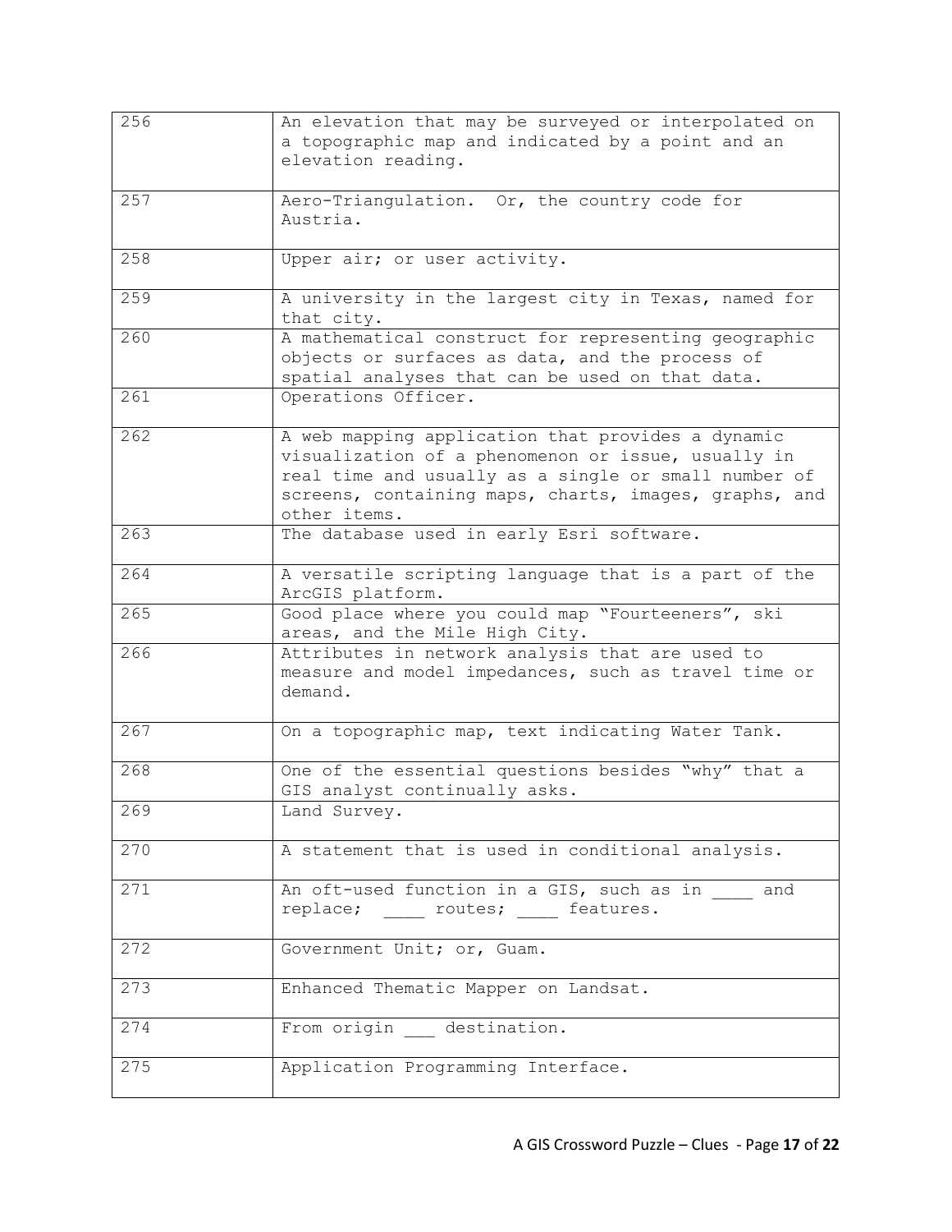| 256 | An elevation that may be surveyed or interpolated on<br>a topographic map and indicated by a point and an<br>elevation reading.                                                                                                          |
|-----|------------------------------------------------------------------------------------------------------------------------------------------------------------------------------------------------------------------------------------------|
| 257 | Aero-Triangulation. Or, the country code for<br>Austria.                                                                                                                                                                                 |
| 258 | Upper air; or user activity.                                                                                                                                                                                                             |
| 259 | A university in the largest city in Texas, named for<br>that city.                                                                                                                                                                       |
| 260 | A mathematical construct for representing geographic<br>objects or surfaces as data, and the process of<br>spatial analyses that can be used on that data.                                                                               |
| 261 | Operations Officer.                                                                                                                                                                                                                      |
| 262 | A web mapping application that provides a dynamic<br>visualization of a phenomenon or issue, usually in<br>real time and usually as a single or small number of<br>screens, containing maps, charts, images, graphs, and<br>other items. |
| 263 | The database used in early Esri software.                                                                                                                                                                                                |
| 264 | A versatile scripting language that is a part of the<br>ArcGIS platform.                                                                                                                                                                 |
| 265 | Good place where you could map "Fourteeners", ski<br>areas, and the Mile High City.                                                                                                                                                      |
| 266 | Attributes in network analysis that are used to<br>measure and model impedances, such as travel time or<br>demand.                                                                                                                       |
| 267 | On a topographic map, text indicating Water Tank.                                                                                                                                                                                        |
| 268 | One of the essential questions besides "why" that a<br>GIS analyst continually asks.                                                                                                                                                     |
| 269 | Land Survey.                                                                                                                                                                                                                             |
| 270 | A statement that is used in conditional analysis.                                                                                                                                                                                        |
| 271 | An oft-used function in a GIS, such as in and                                                                                                                                                                                            |
| 272 | Government Unit; or, Guam.                                                                                                                                                                                                               |
| 273 | Enhanced Thematic Mapper on Landsat.                                                                                                                                                                                                     |
| 274 | From origin destination.                                                                                                                                                                                                                 |
| 275 | Application Programming Interface.                                                                                                                                                                                                       |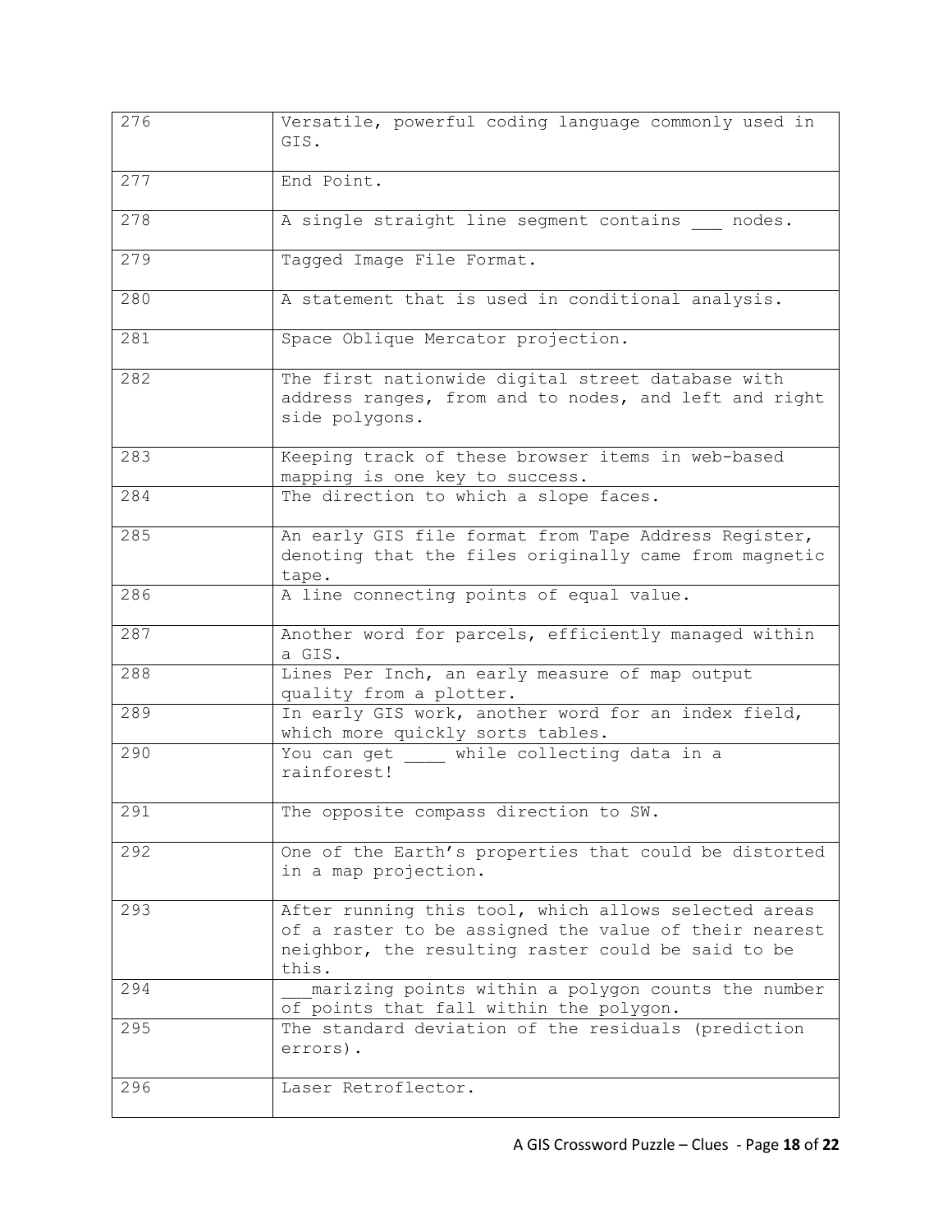| 276 | Versatile, powerful coding language commonly used in<br>GIS.                                                                                                                 |
|-----|------------------------------------------------------------------------------------------------------------------------------------------------------------------------------|
| 277 | End Point.                                                                                                                                                                   |
| 278 | A single straight line segment contains nodes.                                                                                                                               |
| 279 | Tagged Image File Format.                                                                                                                                                    |
| 280 | A statement that is used in conditional analysis.                                                                                                                            |
| 281 | Space Oblique Mercator projection.                                                                                                                                           |
| 282 | The first nationwide digital street database with<br>address ranges, from and to nodes, and left and right<br>side polygons.                                                 |
| 283 | Keeping track of these browser items in web-based<br>mapping is one key to success.                                                                                          |
| 284 | The direction to which a slope faces.                                                                                                                                        |
| 285 | An early GIS file format from Tape Address Register,<br>denoting that the files originally came from magnetic<br>tape.                                                       |
| 286 | A line connecting points of equal value.                                                                                                                                     |
| 287 | Another word for parcels, efficiently managed within<br>a GIS.                                                                                                               |
| 288 | Lines Per Inch, an early measure of map output<br>quality from a plotter.                                                                                                    |
| 289 | In early GIS work, another word for an index field,<br>which more quickly sorts tables.                                                                                      |
| 290 | You can get while collecting data in a<br>rainforest!                                                                                                                        |
| 291 | The opposite compass direction to SW.                                                                                                                                        |
| 292 | One of the Earth's properties that could be distorted<br>in a map projection.                                                                                                |
| 293 | After running this tool, which allows selected areas<br>of a raster to be assigned the value of their nearest<br>neighbor, the resulting raster could be said to be<br>this. |
| 294 | marizing points within a polygon counts the number<br>of points that fall within the polygon.                                                                                |
| 295 | The standard deviation of the residuals (prediction<br>errors).                                                                                                              |
| 296 | Laser Retroflector.                                                                                                                                                          |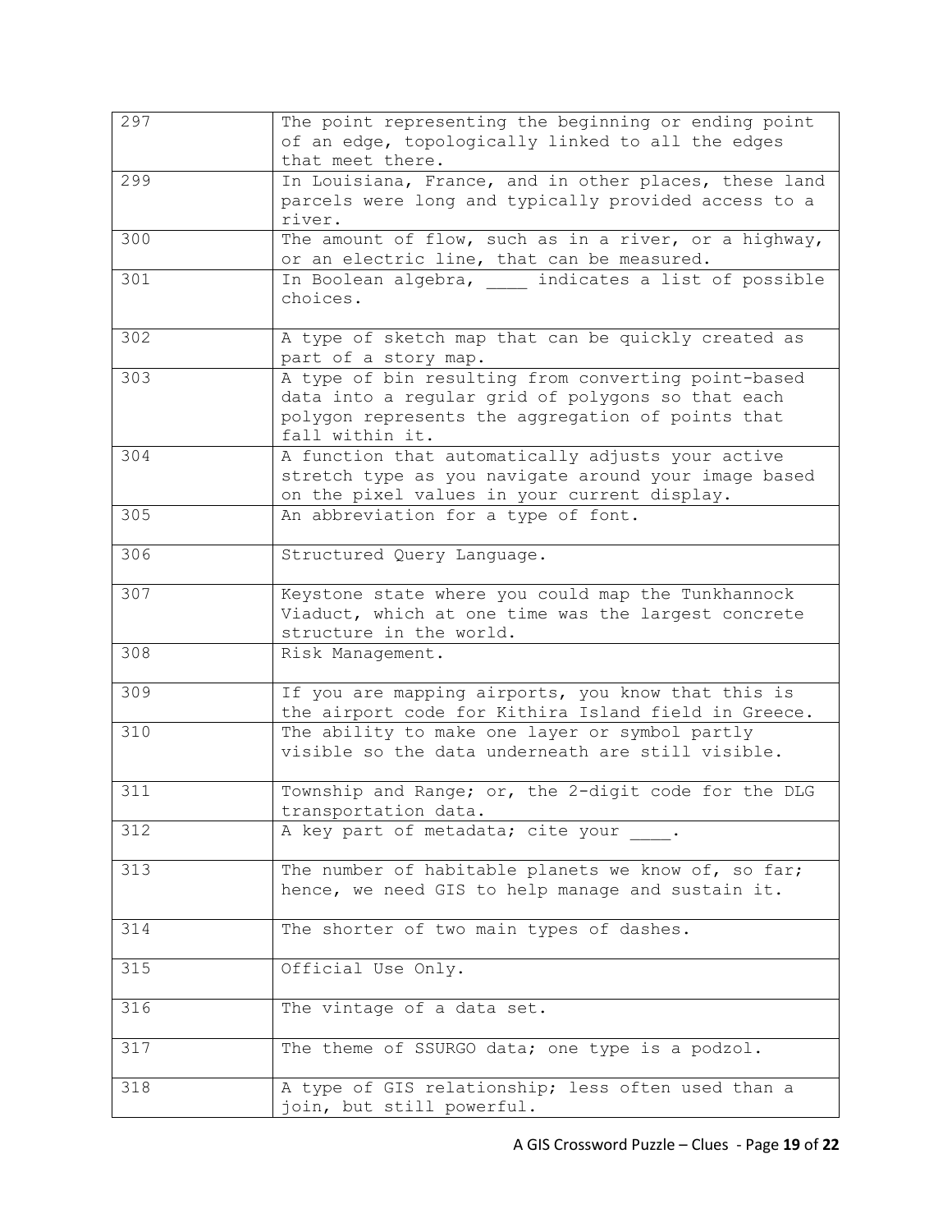| 297 | The point representing the beginning or ending point<br>of an edge, topologically linked to all the edges<br>that meet there.                                                    |
|-----|----------------------------------------------------------------------------------------------------------------------------------------------------------------------------------|
| 299 | In Louisiana, France, and in other places, these land<br>parcels were long and typically provided access to a<br>river.                                                          |
| 300 | The amount of flow, such as in a river, or a highway,<br>or an electric line, that can be measured.                                                                              |
| 301 | In Boolean algebra, _____ indicates a list of possible<br>choices.                                                                                                               |
| 302 | A type of sketch map that can be quickly created as<br>part of a story map.                                                                                                      |
| 303 | A type of bin resulting from converting point-based<br>data into a regular grid of polygons so that each<br>polygon represents the aggregation of points that<br>fall within it. |
| 304 | A function that automatically adjusts your active<br>stretch type as you navigate around your image based<br>on the pixel values in your current display.                        |
| 305 | An abbreviation for a type of font.                                                                                                                                              |
| 306 | Structured Query Language.                                                                                                                                                       |
| 307 | Keystone state where you could map the Tunkhannock<br>Viaduct, which at one time was the largest concrete<br>structure in the world.                                             |
| 308 | Risk Management.                                                                                                                                                                 |
| 309 | If you are mapping airports, you know that this is<br>the airport code for Kithira Island field in Greece.                                                                       |
| 310 | The ability to make one layer or symbol partly<br>visible so the data underneath are still visible.                                                                              |
| 311 | Township and Range; or, the 2-digit code for the DLG<br>transportation data.                                                                                                     |
| 312 | A key part of metadata; cite your .                                                                                                                                              |
| 313 | The number of habitable planets we know of, so far;<br>hence, we need GIS to help manage and sustain it.                                                                         |
| 314 | The shorter of two main types of dashes.                                                                                                                                         |
| 315 | Official Use Only.                                                                                                                                                               |
| 316 | The vintage of a data set.                                                                                                                                                       |
| 317 | The theme of SSURGO data; one type is a podzol.                                                                                                                                  |
| 318 | A type of GIS relationship; less often used than a<br>join, but still powerful.                                                                                                  |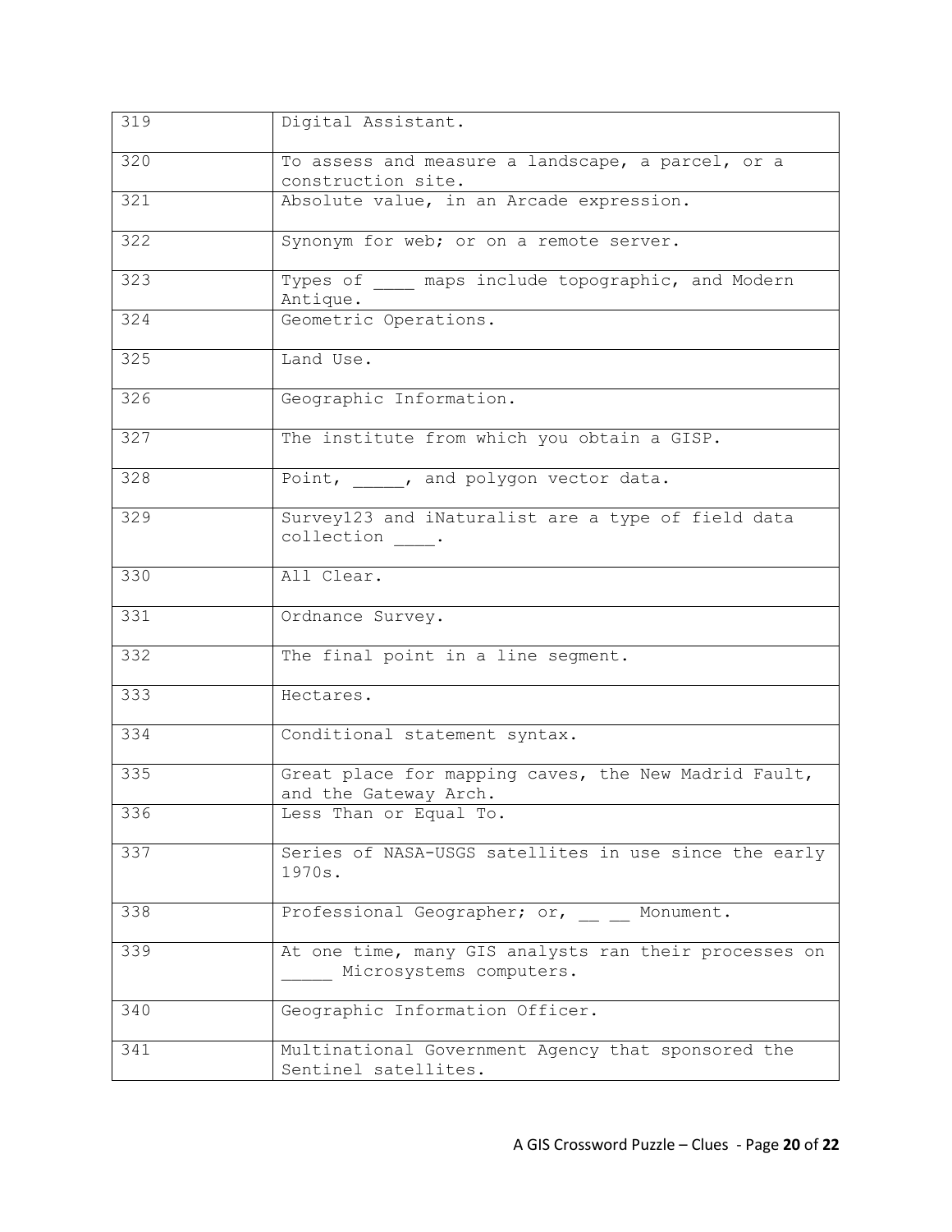| 319 | Digital Assistant.                                                               |
|-----|----------------------------------------------------------------------------------|
| 320 | To assess and measure a landscape, a parcel, or a<br>construction site.          |
| 321 | Absolute value, in an Arcade expression.                                         |
| 322 | Synonym for web; or on a remote server.                                          |
| 323 | Types of maps include topographic, and Modern<br>Antique.                        |
| 324 | Geometric Operations.                                                            |
| 325 | Land Use.                                                                        |
| 326 | Geographic Information.                                                          |
| 327 | The institute from which you obtain a GISP.                                      |
| 328 | Point, , and polygon vector data.                                                |
| 329 | Survey123 and iNaturalist are a type of field data<br>collection .               |
| 330 | All Clear.                                                                       |
| 331 | Ordnance Survey.                                                                 |
| 332 | The final point in a line segment.                                               |
| 333 | Hectares.                                                                        |
| 334 | Conditional statement syntax.                                                    |
| 335 | Great place for mapping caves, the New Madrid Fault,<br>and the Gateway Arch.    |
| 336 | Less Than or Equal To.                                                           |
| 337 | Series of NASA-USGS satellites in use since the early<br>1970s.                  |
| 338 | Professional Geographer; or, Monument.                                           |
| 339 | At one time, many GIS analysts ran their processes on<br>Microsystems computers. |
| 340 | Geographic Information Officer.                                                  |
| 341 | Multinational Government Agency that sponsored the<br>Sentinel satellites.       |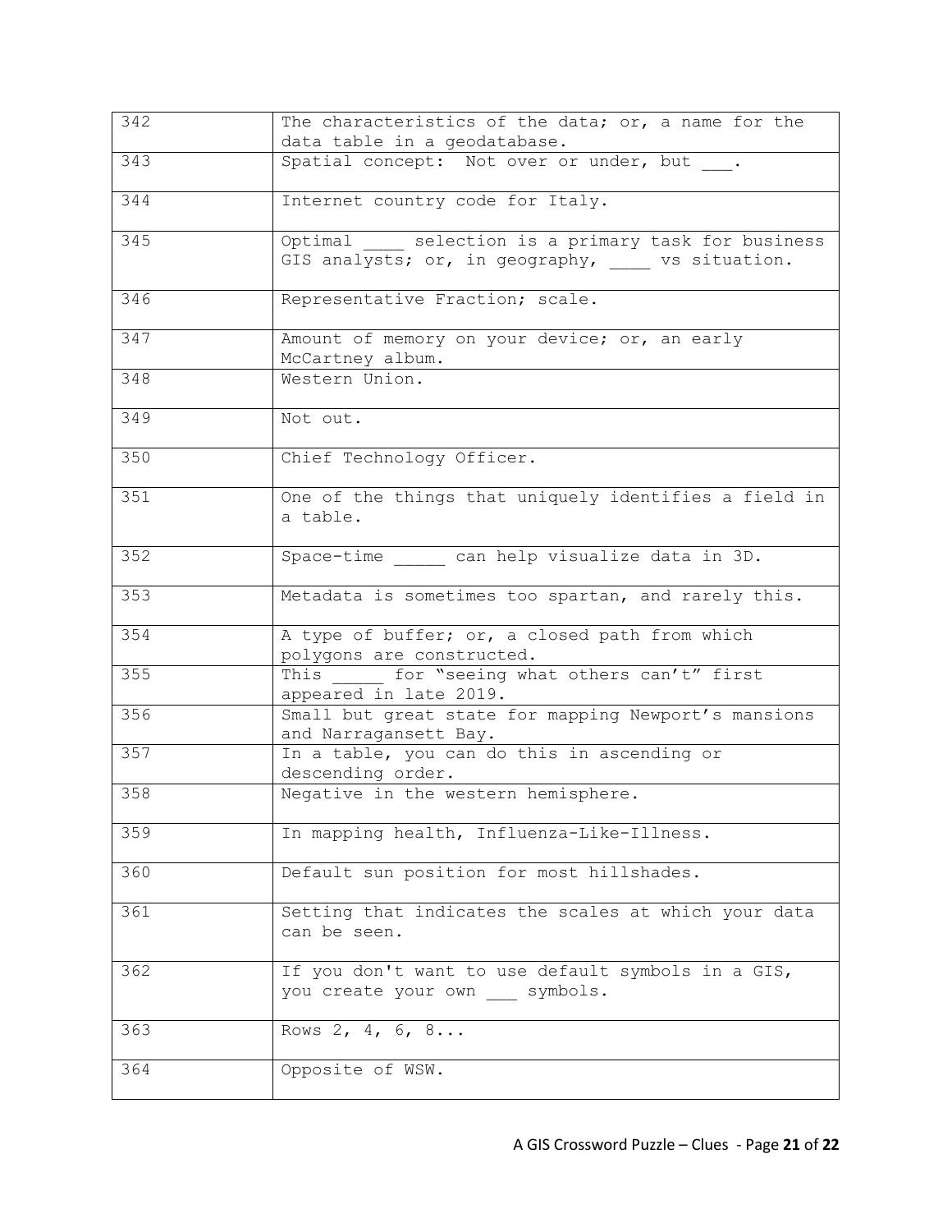| 342   | The characteristics of the data; or, a name for the<br>data table in a geodatabase.                          |
|-------|--------------------------------------------------------------------------------------------------------------|
| $343$ | Spatial concept: Not over or under, but .                                                                    |
| 344   | Internet country code for Italy.                                                                             |
| 345   | Optimal _____ selection is a primary task for business<br>GIS analysts; or, in geography, ____ vs situation. |
| 346   | Representative Fraction; scale.                                                                              |
| 347   | Amount of memory on your device; or, an early<br>McCartney album.                                            |
| 348   | Western Union.                                                                                               |
| 349   | Not out.                                                                                                     |
| 350   | Chief Technology Officer.                                                                                    |
| 351   | One of the things that uniquely identifies a field in<br>a table.                                            |
| 352   | Space-time can help visualize data in 3D.                                                                    |
| 353   | Metadata is sometimes too spartan, and rarely this.                                                          |
| 354   | A type of buffer; or, a closed path from which<br>polygons are constructed.                                  |
| 355   | This for "seeing what others can't" first<br>appeared in late 2019.                                          |
| 356   | Small but great state for mapping Newport's mansions<br>and Narragansett Bay.                                |
| 357   | In a table, you can do this in ascending or<br>descending order.                                             |
| 358   | Negative in the western hemisphere.                                                                          |
| 359   | In mapping health, Influenza-Like-Illness.                                                                   |
| 360   | Default sun position for most hillshades.                                                                    |
| 361   | Setting that indicates the scales at which your data<br>can be seen.                                         |
| 362   | If you don't want to use default symbols in a GIS,<br>you create your own symbols.                           |
| 363   | Rows 2, 4, 6, 8                                                                                              |
| 364   | Opposite of WSW.                                                                                             |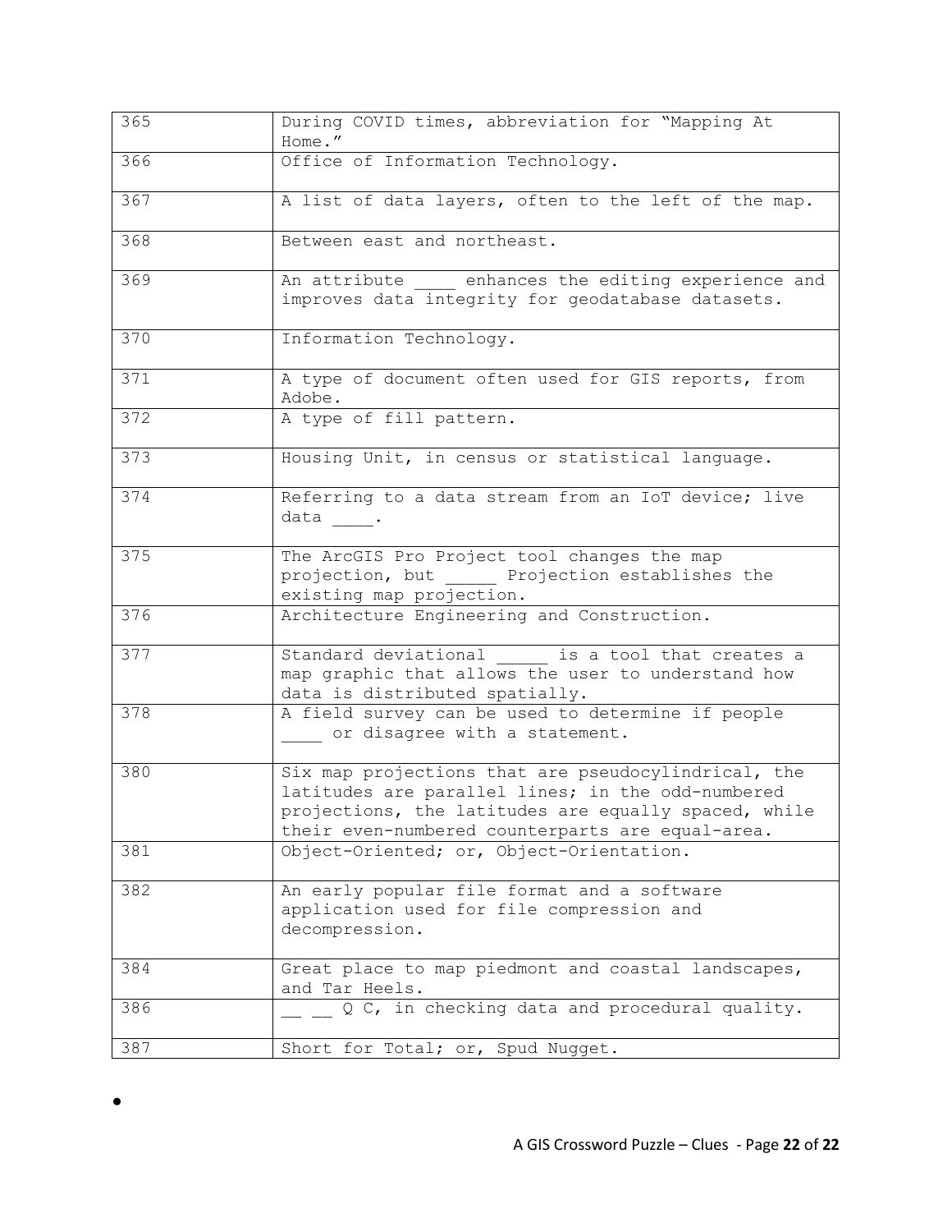| 365 | During COVID times, abbreviation for "Mapping At<br>Home."                                                                                                                                                           |
|-----|----------------------------------------------------------------------------------------------------------------------------------------------------------------------------------------------------------------------|
| 366 | Office of Information Technology.                                                                                                                                                                                    |
| 367 | A list of data layers, often to the left of the map.                                                                                                                                                                 |
| 368 | Between east and northeast.                                                                                                                                                                                          |
| 369 | An attribute enhances the editing experience and<br>improves data integrity for geodatabase datasets.                                                                                                                |
| 370 | Information Technology.                                                                                                                                                                                              |
| 371 | A type of document often used for GIS reports, from<br>Adobe.                                                                                                                                                        |
| 372 | A type of fill pattern.                                                                                                                                                                                              |
| 373 | Housing Unit, in census or statistical language.                                                                                                                                                                     |
| 374 | Referring to a data stream from an IoT device; live<br>data .                                                                                                                                                        |
| 375 | The ArcGIS Pro Project tool changes the map<br>projection, but ______ Projection establishes the<br>existing map projection.                                                                                         |
| 376 | Architecture Engineering and Construction.                                                                                                                                                                           |
| 377 | Standard deviational is a tool that creates a<br>map graphic that allows the user to understand how<br>data is distributed spatially.                                                                                |
| 378 | A field survey can be used to determine if people<br>or disagree with a statement.                                                                                                                                   |
| 380 | Six map projections that are pseudocylindrical, the<br>latitudes are parallel lines; in the odd-numbered<br>projections, the latitudes are equally spaced, while<br>their even-numbered counterparts are equal-area. |
| 381 | Object-Oriented; or, Object-Orientation.                                                                                                                                                                             |
| 382 | An early popular file format and a software<br>application used for file compression and<br>decompression.                                                                                                           |
| 384 | Great place to map piedmont and coastal landscapes,<br>and Tar Heels.                                                                                                                                                |
| 386 | Q C, in checking data and procedural quality.                                                                                                                                                                        |
| 387 | Short for Total; or, Spud Nugget.                                                                                                                                                                                    |